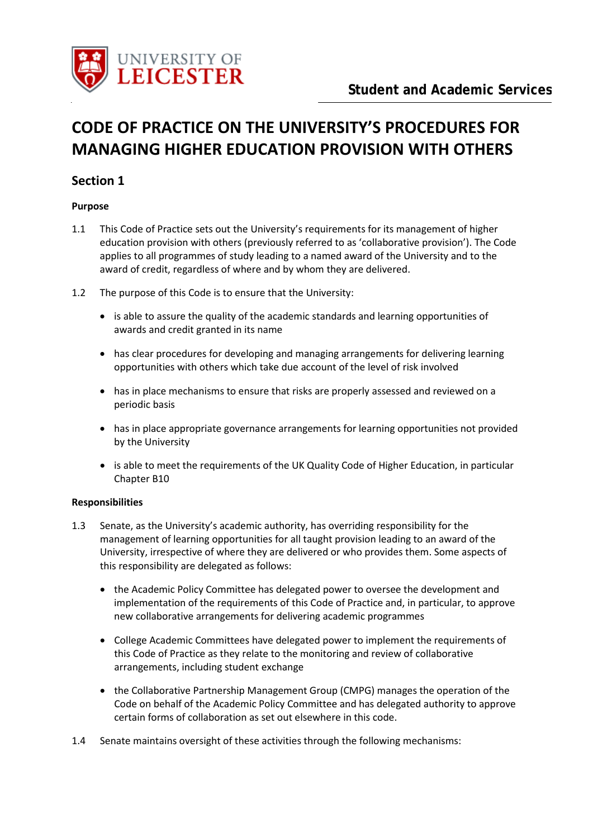

# **CODE OF PRACTICE ON THE UNIVERSITY'S PROCEDURES FOR MANAGING HIGHER EDUCATION PROVISION WITH OTHERS**

## **Section 1**

#### **Purpose**

- 1.1 This Code of Practice sets out the University's requirements for its management of higher education provision with others (previously referred to as 'collaborative provision'). The Code applies to all programmes of study leading to a named award of the University and to the award of credit, regardless of where and by whom they are delivered.
- 1.2 The purpose of this Code is to ensure that the University:
	- is able to assure the quality of the academic standards and learning opportunities of awards and credit granted in its name
	- has clear procedures for developing and managing arrangements for delivering learning opportunities with others which take due account of the level of risk involved
	- has in place mechanisms to ensure that risks are properly assessed and reviewed on a periodic basis
	- has in place appropriate governance arrangements for learning opportunities not provided by the University
	- is able to meet the requirements of the UK Quality Code of Higher Education, in particular Chapter B10

## **Responsibilities**

- 1.3 Senate, as the University's academic authority, has overriding responsibility for the management of learning opportunities for all taught provision leading to an award of the University, irrespective of where they are delivered or who provides them. Some aspects of this responsibility are delegated as follows:
	- the Academic Policy Committee has delegated power to oversee the development and implementation of the requirements of this Code of Practice and, in particular, to approve new collaborative arrangements for delivering academic programmes
	- College Academic Committees have delegated power to implement the requirements of this Code of Practice as they relate to the monitoring and review of collaborative arrangements, including student exchange
	- the Collaborative Partnership Management Group (CMPG) manages the operation of the Code on behalf of the Academic Policy Committee and has delegated authority to approve certain forms of collaboration as set out elsewhere in this code.
- 1.4 Senate maintains oversight of these activities through the following mechanisms: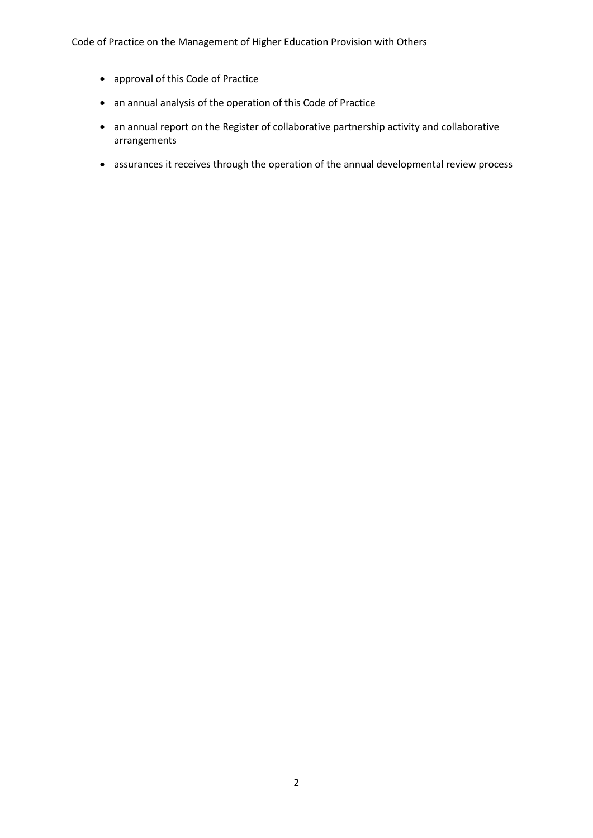Code of Practice on the Management of Higher Education Provision with Others

- approval of this Code of Practice
- an annual analysis of the operation of this Code of Practice
- an annual report on the Register of collaborative partnership activity and collaborative arrangements
- assurances it receives through the operation of the annual developmental review process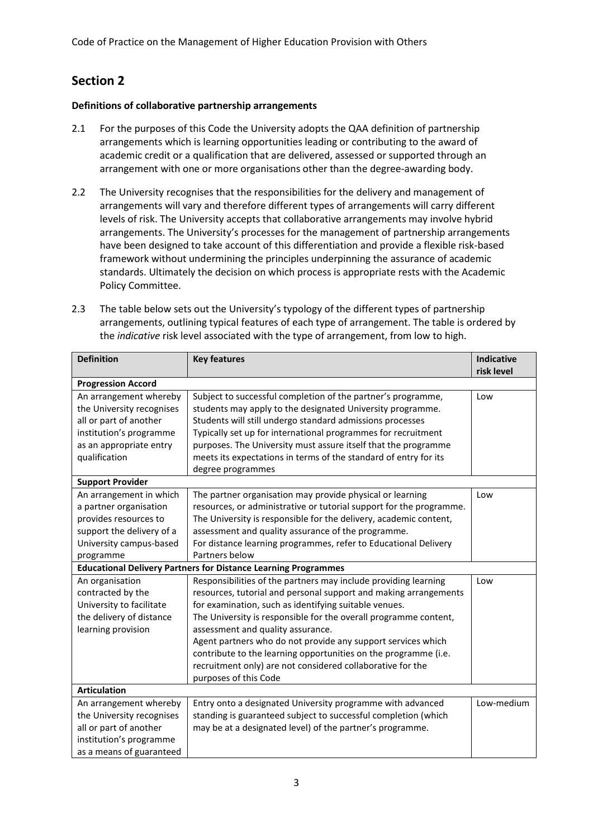# **Section 2**

## **Definitions of collaborative partnership arrangements**

- 2.1 For the purposes of this Code the University adopts the QAA definition of partnership arrangements which is learning opportunities leading or contributing to the award of academic credit or a qualification that are delivered, assessed or supported through an arrangement with one or more organisations other than the degree-awarding body.
- 2.2 The University recognises that the responsibilities for the delivery and management of arrangements will vary and therefore different types of arrangements will carry different levels of risk. The University accepts that collaborative arrangements may involve hybrid arrangements. The University's processes for the management of partnership arrangements have been designed to take account of this differentiation and provide a flexible risk-based framework without undermining the principles underpinning the assurance of academic standards. Ultimately the decision on which process is appropriate rests with the Academic Policy Committee.
- 2.3 The table below sets out the University's typology of the different types of partnership arrangements, outlining typical features of each type of arrangement. The table is ordered by the *indicative* risk level associated with the type of arrangement, from low to high.

| <b>Definition</b>         | <b>Key features</b>                                                   | <b>Indicative</b> |
|---------------------------|-----------------------------------------------------------------------|-------------------|
|                           |                                                                       | risk level        |
| <b>Progression Accord</b> |                                                                       |                   |
| An arrangement whereby    | Subject to successful completion of the partner's programme,          | Low               |
| the University recognises | students may apply to the designated University programme.            |                   |
| all or part of another    | Students will still undergo standard admissions processes             |                   |
| institution's programme   | Typically set up for international programmes for recruitment         |                   |
| as an appropriate entry   | purposes. The University must assure itself that the programme        |                   |
| qualification             | meets its expectations in terms of the standard of entry for its      |                   |
|                           | degree programmes                                                     |                   |
| <b>Support Provider</b>   |                                                                       |                   |
| An arrangement in which   | The partner organisation may provide physical or learning             | Low               |
| a partner organisation    | resources, or administrative or tutorial support for the programme.   |                   |
| provides resources to     | The University is responsible for the delivery, academic content,     |                   |
| support the delivery of a | assessment and quality assurance of the programme.                    |                   |
| University campus-based   | For distance learning programmes, refer to Educational Delivery       |                   |
| programme                 | Partners below                                                        |                   |
|                           | <b>Educational Delivery Partners for Distance Learning Programmes</b> |                   |
| An organisation           | Responsibilities of the partners may include providing learning       | Low               |
| contracted by the         | resources, tutorial and personal support and making arrangements      |                   |
| University to facilitate  | for examination, such as identifying suitable venues.                 |                   |
| the delivery of distance  | The University is responsible for the overall programme content,      |                   |
| learning provision        | assessment and quality assurance.                                     |                   |
|                           | Agent partners who do not provide any support services which          |                   |
|                           | contribute to the learning opportunities on the programme (i.e.       |                   |
|                           | recruitment only) are not considered collaborative for the            |                   |
|                           | purposes of this Code                                                 |                   |
| <b>Articulation</b>       |                                                                       |                   |
| An arrangement whereby    | Entry onto a designated University programme with advanced            | Low-medium        |
| the University recognises | standing is guaranteed subject to successful completion (which        |                   |
| all or part of another    | may be at a designated level) of the partner's programme.             |                   |
| institution's programme   |                                                                       |                   |
| as a means of guaranteed  |                                                                       |                   |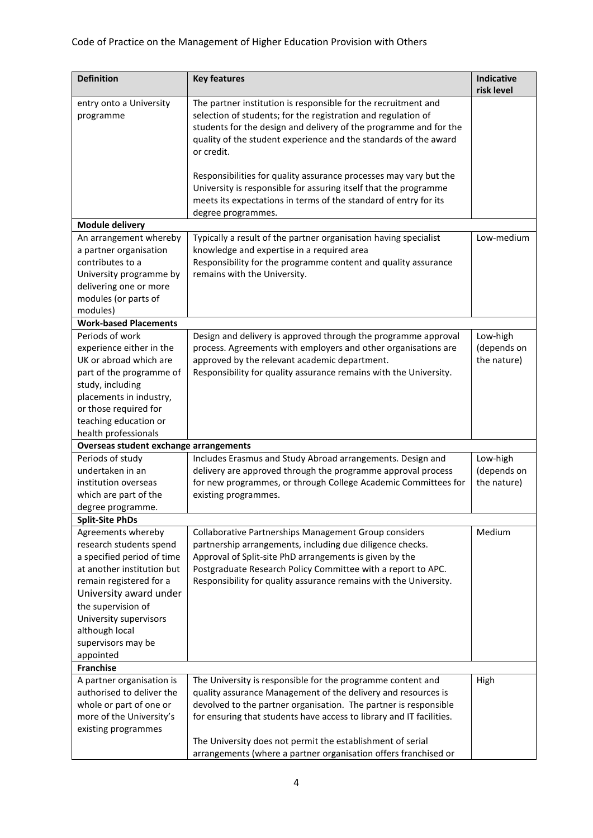## Code of Practice on the Management of Higher Education Provision with Others

| <b>Definition</b>                                                                               | <b>Key features</b>                                                                                                                                                                                                                                                                    | <b>Indicative</b><br>risk level |
|-------------------------------------------------------------------------------------------------|----------------------------------------------------------------------------------------------------------------------------------------------------------------------------------------------------------------------------------------------------------------------------------------|---------------------------------|
| entry onto a University<br>programme                                                            | The partner institution is responsible for the recruitment and<br>selection of students; for the registration and regulation of<br>students for the design and delivery of the programme and for the<br>quality of the student experience and the standards of the award<br>or credit. |                                 |
|                                                                                                 | Responsibilities for quality assurance processes may vary but the<br>University is responsible for assuring itself that the programme<br>meets its expectations in terms of the standard of entry for its<br>degree programmes.                                                        |                                 |
| <b>Module delivery</b>                                                                          |                                                                                                                                                                                                                                                                                        |                                 |
| An arrangement whereby                                                                          | Typically a result of the partner organisation having specialist                                                                                                                                                                                                                       | Low-medium                      |
| a partner organisation<br>contributes to a<br>University programme by<br>delivering one or more | knowledge and expertise in a required area<br>Responsibility for the programme content and quality assurance<br>remains with the University.                                                                                                                                           |                                 |
| modules (or parts of                                                                            |                                                                                                                                                                                                                                                                                        |                                 |
| modules)                                                                                        |                                                                                                                                                                                                                                                                                        |                                 |
| <b>Work-based Placements</b>                                                                    |                                                                                                                                                                                                                                                                                        |                                 |
| Periods of work                                                                                 | Design and delivery is approved through the programme approval                                                                                                                                                                                                                         | Low-high                        |
| experience either in the                                                                        | process. Agreements with employers and other organisations are                                                                                                                                                                                                                         | (depends on                     |
| UK or abroad which are                                                                          | approved by the relevant academic department.                                                                                                                                                                                                                                          | the nature)                     |
| part of the programme of                                                                        | Responsibility for quality assurance remains with the University.                                                                                                                                                                                                                      |                                 |
| study, including                                                                                |                                                                                                                                                                                                                                                                                        |                                 |
| placements in industry,                                                                         |                                                                                                                                                                                                                                                                                        |                                 |
| or those required for<br>teaching education or                                                  |                                                                                                                                                                                                                                                                                        |                                 |
| health professionals                                                                            |                                                                                                                                                                                                                                                                                        |                                 |
| Overseas student exchange arrangements                                                          |                                                                                                                                                                                                                                                                                        |                                 |
| Periods of study                                                                                | Includes Erasmus and Study Abroad arrangements. Design and                                                                                                                                                                                                                             | Low-high                        |
| undertaken in an                                                                                | delivery are approved through the programme approval process                                                                                                                                                                                                                           | (depends on                     |
| institution overseas                                                                            | for new programmes, or through College Academic Committees for                                                                                                                                                                                                                         | the nature)                     |
| which are part of the                                                                           | existing programmes.                                                                                                                                                                                                                                                                   |                                 |
| degree programme.                                                                               |                                                                                                                                                                                                                                                                                        |                                 |
| <b>Split-Site PhDs</b>                                                                          |                                                                                                                                                                                                                                                                                        |                                 |
| Agreements whereby                                                                              | Collaborative Partnerships Management Group considers                                                                                                                                                                                                                                  | Medium                          |
| research students spend                                                                         | partnership arrangements, including due diligence checks.                                                                                                                                                                                                                              |                                 |
| a specified period of time                                                                      | Approval of Split-site PhD arrangements is given by the                                                                                                                                                                                                                                |                                 |
| at another institution but                                                                      | Postgraduate Research Policy Committee with a report to APC.                                                                                                                                                                                                                           |                                 |
| remain registered for a                                                                         | Responsibility for quality assurance remains with the University.                                                                                                                                                                                                                      |                                 |
| University award under                                                                          |                                                                                                                                                                                                                                                                                        |                                 |
| the supervision of                                                                              |                                                                                                                                                                                                                                                                                        |                                 |
| University supervisors                                                                          |                                                                                                                                                                                                                                                                                        |                                 |
| although local                                                                                  |                                                                                                                                                                                                                                                                                        |                                 |
| supervisors may be                                                                              |                                                                                                                                                                                                                                                                                        |                                 |
| appointed<br><b>Franchise</b>                                                                   |                                                                                                                                                                                                                                                                                        |                                 |
| A partner organisation is                                                                       | The University is responsible for the programme content and                                                                                                                                                                                                                            | High                            |
| authorised to deliver the                                                                       | quality assurance Management of the delivery and resources is                                                                                                                                                                                                                          |                                 |
| whole or part of one or                                                                         | devolved to the partner organisation. The partner is responsible                                                                                                                                                                                                                       |                                 |
| more of the University's                                                                        | for ensuring that students have access to library and IT facilities.                                                                                                                                                                                                                   |                                 |
| existing programmes                                                                             |                                                                                                                                                                                                                                                                                        |                                 |
|                                                                                                 | The University does not permit the establishment of serial                                                                                                                                                                                                                             |                                 |
|                                                                                                 | arrangements (where a partner organisation offers franchised or                                                                                                                                                                                                                        |                                 |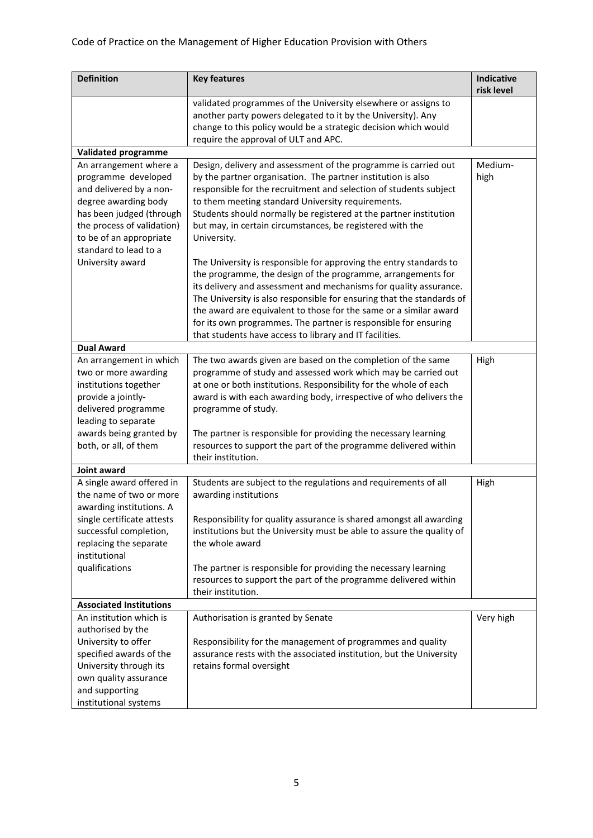| <b>Definition</b>                                                                                                                                                                                              | <b>Key features</b>                                                                                                                                                                                                                                                                                                                                                                                                                                                                 | <b>Indicative</b><br>risk level |
|----------------------------------------------------------------------------------------------------------------------------------------------------------------------------------------------------------------|-------------------------------------------------------------------------------------------------------------------------------------------------------------------------------------------------------------------------------------------------------------------------------------------------------------------------------------------------------------------------------------------------------------------------------------------------------------------------------------|---------------------------------|
|                                                                                                                                                                                                                | validated programmes of the University elsewhere or assigns to<br>another party powers delegated to it by the University). Any<br>change to this policy would be a strategic decision which would<br>require the approval of ULT and APC.                                                                                                                                                                                                                                           |                                 |
| <b>Validated programme</b>                                                                                                                                                                                     |                                                                                                                                                                                                                                                                                                                                                                                                                                                                                     |                                 |
| An arrangement where a<br>programme developed<br>and delivered by a non-<br>degree awarding body<br>has been judged (through<br>the process of validation)<br>to be of an appropriate<br>standard to lead to a | Design, delivery and assessment of the programme is carried out<br>by the partner organisation. The partner institution is also<br>responsible for the recruitment and selection of students subject<br>to them meeting standard University requirements.<br>Students should normally be registered at the partner institution<br>but may, in certain circumstances, be registered with the<br>University.                                                                          | Medium-<br>high                 |
| University award                                                                                                                                                                                               | The University is responsible for approving the entry standards to<br>the programme, the design of the programme, arrangements for<br>its delivery and assessment and mechanisms for quality assurance.<br>The University is also responsible for ensuring that the standards of<br>the award are equivalent to those for the same or a similar award<br>for its own programmes. The partner is responsible for ensuring<br>that students have access to library and IT facilities. |                                 |
| <b>Dual Award</b>                                                                                                                                                                                              |                                                                                                                                                                                                                                                                                                                                                                                                                                                                                     |                                 |
| An arrangement in which<br>two or more awarding<br>institutions together<br>provide a jointly-<br>delivered programme<br>leading to separate                                                                   | The two awards given are based on the completion of the same<br>programme of study and assessed work which may be carried out<br>at one or both institutions. Responsibility for the whole of each<br>award is with each awarding body, irrespective of who delivers the<br>programme of study.                                                                                                                                                                                     | High                            |
| awards being granted by<br>both, or all, of them                                                                                                                                                               | The partner is responsible for providing the necessary learning<br>resources to support the part of the programme delivered within<br>their institution.                                                                                                                                                                                                                                                                                                                            |                                 |
| Joint award                                                                                                                                                                                                    |                                                                                                                                                                                                                                                                                                                                                                                                                                                                                     |                                 |
| A single award offered in<br>the name of two or more<br>awarding institutions. A<br>single certificate attests<br>successful completion,<br>replacing the separate<br>institutional                            | Students are subject to the regulations and requirements of all<br>awarding institutions<br>Responsibility for quality assurance is shared amongst all awarding<br>institutions but the University must be able to assure the quality of<br>the whole award                                                                                                                                                                                                                         | High                            |
| qualifications                                                                                                                                                                                                 | The partner is responsible for providing the necessary learning<br>resources to support the part of the programme delivered within<br>their institution.                                                                                                                                                                                                                                                                                                                            |                                 |
| <b>Associated Institutions</b>                                                                                                                                                                                 |                                                                                                                                                                                                                                                                                                                                                                                                                                                                                     |                                 |
| An institution which is<br>authorised by the<br>University to offer<br>specified awards of the<br>University through its<br>own quality assurance<br>and supporting                                            | Authorisation is granted by Senate<br>Responsibility for the management of programmes and quality<br>assurance rests with the associated institution, but the University<br>retains formal oversight                                                                                                                                                                                                                                                                                | Very high                       |
| institutional systems                                                                                                                                                                                          |                                                                                                                                                                                                                                                                                                                                                                                                                                                                                     |                                 |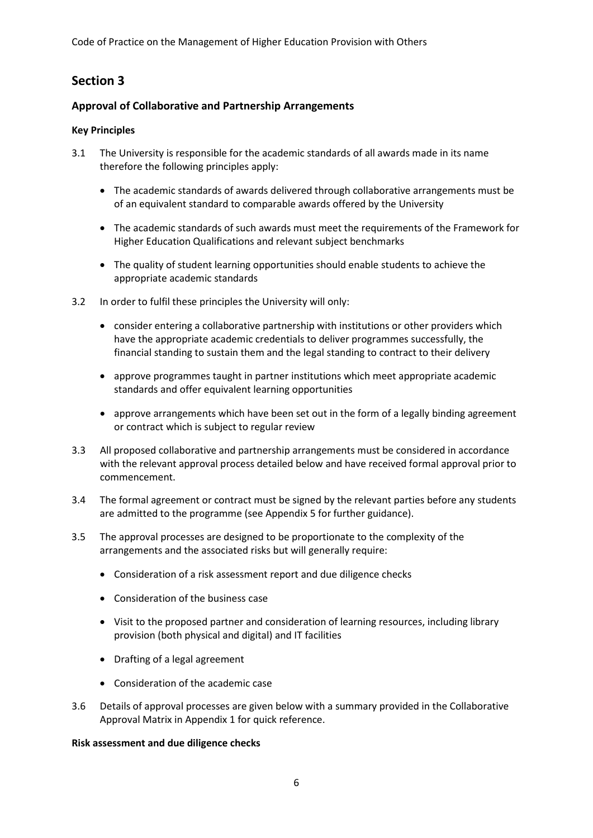Code of Practice on the Management of Higher Education Provision with Others

# **Section 3**

## **Approval of Collaborative and Partnership Arrangements**

## **Key Principles**

- 3.1 The University is responsible for the academic standards of all awards made in its name therefore the following principles apply:
	- The academic standards of awards delivered through collaborative arrangements must be of an equivalent standard to comparable awards offered by the University
	- The academic standards of such awards must meet the requirements of the Framework for Higher Education Qualifications and relevant subject benchmarks
	- The quality of student learning opportunities should enable students to achieve the appropriate academic standards
- 3.2 In order to fulfil these principles the University will only:
	- consider entering a collaborative partnership with institutions or other providers which have the appropriate academic credentials to deliver programmes successfully, the financial standing to sustain them and the legal standing to contract to their delivery
	- approve programmes taught in partner institutions which meet appropriate academic standards and offer equivalent learning opportunities
	- approve arrangements which have been set out in the form of a legally binding agreement or contract which is subject to regular review
- 3.3 All proposed collaborative and partnership arrangements must be considered in accordance with the relevant approval process detailed below and have received formal approval prior to commencement.
- 3.4 The formal agreement or contract must be signed by the relevant parties before any students are admitted to the programme (see Appendix 5 for further guidance).
- 3.5 The approval processes are designed to be proportionate to the complexity of the arrangements and the associated risks but will generally require:
	- Consideration of a risk assessment report and due diligence checks
	- Consideration of the business case
	- Visit to the proposed partner and consideration of learning resources, including library provision (both physical and digital) and IT facilities
	- Drafting of a legal agreement
	- Consideration of the academic case
- 3.6 Details of approval processes are given below with a summary provided in the Collaborative Approval Matrix in Appendix 1 for quick reference.

## **Risk assessment and due diligence checks**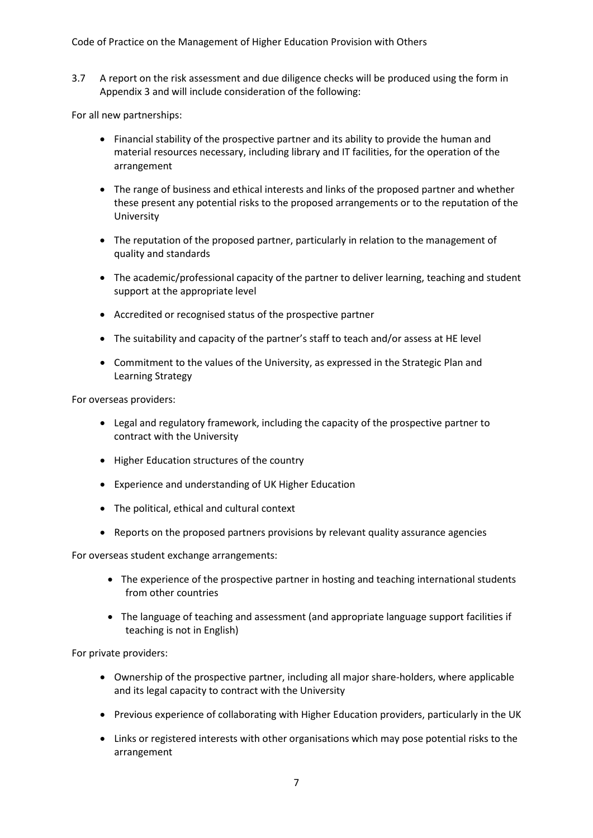3.7 A report on the risk assessment and due diligence checks will be produced using the form in Appendix 3 and will include consideration of the following:

For all new partnerships:

- Financial stability of the prospective partner and its ability to provide the human and material resources necessary, including library and IT facilities, for the operation of the arrangement
- The range of business and ethical interests and links of the proposed partner and whether these present any potential risks to the proposed arrangements or to the reputation of the University
- The reputation of the proposed partner, particularly in relation to the management of quality and standards
- The academic/professional capacity of the partner to deliver learning, teaching and student support at the appropriate level
- Accredited or recognised status of the prospective partner
- The suitability and capacity of the partner's staff to teach and/or assess at HE level
- Commitment to the values of the University, as expressed in the Strategic Plan and Learning Strategy

For overseas providers:

- Legal and regulatory framework, including the capacity of the prospective partner to contract with the University
- Higher Education structures of the country
- Experience and understanding of UK Higher Education
- The political, ethical and cultural context
- Reports on the proposed partners provisions by relevant quality assurance agencies

For overseas student exchange arrangements:

- The experience of the prospective partner in hosting and teaching international students from other countries
- The language of teaching and assessment (and appropriate language support facilities if teaching is not in English)

For private providers:

- Ownership of the prospective partner, including all major share-holders, where applicable and its legal capacity to contract with the University
- Previous experience of collaborating with Higher Education providers, particularly in the UK
- Links or registered interests with other organisations which may pose potential risks to the arrangement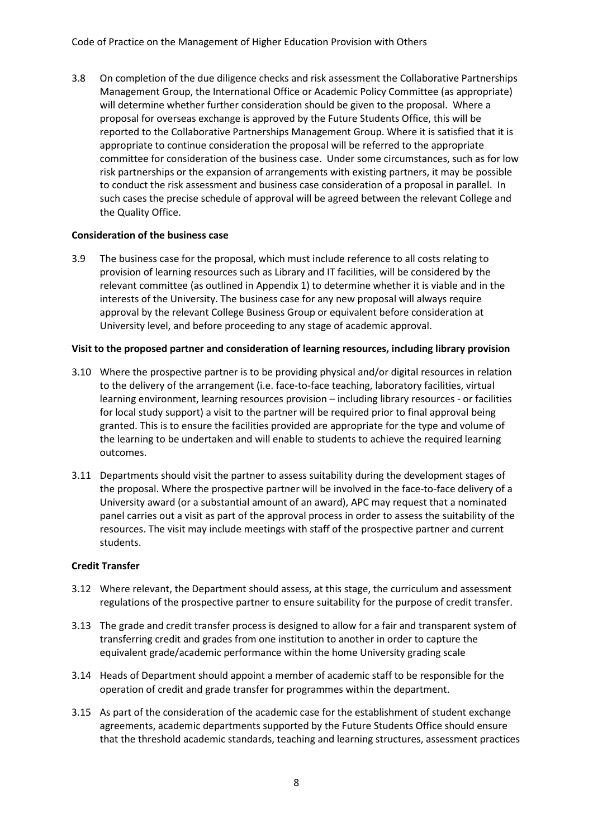Code of Practice on the Management of Higher Education Provision with Others

3.8 On completion of the due diligence checks and risk assessment the Collaborative Partnerships Management Group, the International Office or Academic Policy Committee (as appropriate) will determine whether further consideration should be given to the proposal. Where a proposal for overseas exchange is approved by the Future Students Office, this will be reported to the Collaborative Partnerships Management Group. Where it is satisfied that it is appropriate to continue consideration the proposal will be referred to the appropriate committee for consideration of the business case. Under some circumstances, such as for low risk partnerships or the expansion of arrangements with existing partners, it may be possible to conduct the risk assessment and business case consideration of a proposal in parallel. In such cases the precise schedule of approval will be agreed between the relevant College and the Quality Office.

### **Consideration of the business case**

3.9 The business case for the proposal, which must include reference to all costs relating to provision of learning resources such as Library and IT facilities, will be considered by the relevant committee (as outlined in Appendix 1) to determine whether it is viable and in the interests of the University. The business case for any new proposal will always require approval by the relevant College Business Group or equivalent before consideration at University level, and before proceeding to any stage of academic approval.

### **Visit to the proposed partner and consideration of learning resources, including library provision**

- 3.10 Where the prospective partner is to be providing physical and/or digital resources in relation to the delivery of the arrangement (i.e. face-to-face teaching, laboratory facilities, virtual learning environment, learning resources provision – including library resources - or facilities for local study support) a visit to the partner will be required prior to final approval being granted. This is to ensure the facilities provided are appropriate for the type and volume of the learning to be undertaken and will enable to students to achieve the required learning outcomes.
- 3.11 Departments should visit the partner to assess suitability during the development stages of the proposal. Where the prospective partner will be involved in the face-to-face delivery of a University award (or a substantial amount of an award), APC may request that a nominated panel carries out a visit as part of the approval process in order to assess the suitability of the resources. The visit may include meetings with staff of the prospective partner and current students.

## **Credit Transfer**

- 3.12 Where relevant, the Department should assess, at this stage, the curriculum and assessment regulations of the prospective partner to ensure suitability for the purpose of credit transfer.
- 3.13 The grade and credit transfer process is designed to allow for a fair and transparent system of transferring credit and grades from one institution to another in order to capture the equivalent grade/academic performance within the home University grading scale
- 3.14 Heads of Department should appoint a member of academic staff to be responsible for the operation of credit and grade transfer for programmes within the department.
- 3.15 As part of the consideration of the academic case for the establishment of student exchange agreements, academic departments supported by the Future Students Office should ensure that the threshold academic standards, teaching and learning structures, assessment practices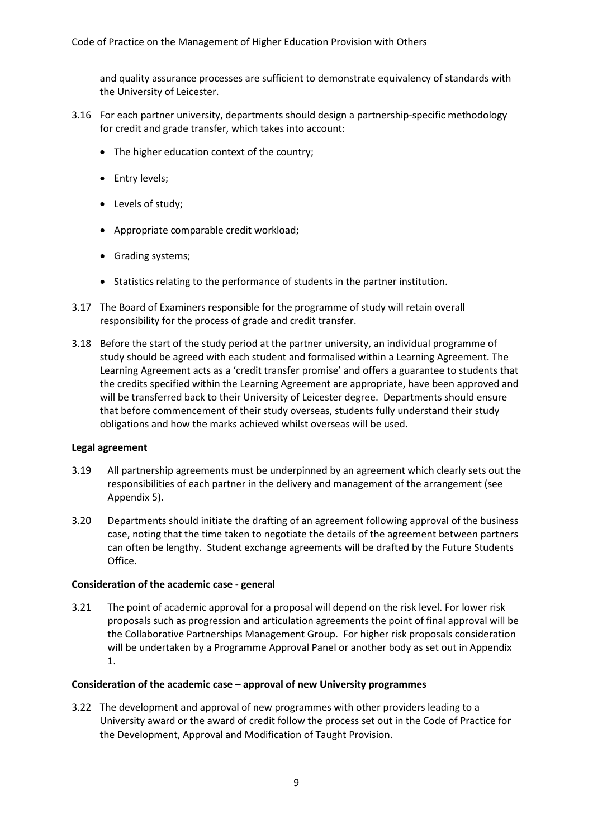and quality assurance processes are sufficient to demonstrate equivalency of standards with the University of Leicester.

- 3.16 For each partner university, departments should design a partnership-specific methodology for credit and grade transfer, which takes into account:
	- The higher education context of the country;
	- Entry levels;
	- Levels of study;
	- Appropriate comparable credit workload;
	- Grading systems;
	- Statistics relating to the performance of students in the partner institution.
- 3.17 The Board of Examiners responsible for the programme of study will retain overall responsibility for the process of grade and credit transfer.
- 3.18 Before the start of the study period at the partner university, an individual programme of study should be agreed with each student and formalised within a Learning Agreement. The Learning Agreement acts as a 'credit transfer promise' and offers a guarantee to students that the credits specified within the Learning Agreement are appropriate, have been approved and will be transferred back to their University of Leicester degree. Departments should ensure that before commencement of their study overseas, students fully understand their study obligations and how the marks achieved whilst overseas will be used.

#### **Legal agreement**

- 3.19 All partnership agreements must be underpinned by an agreement which clearly sets out the responsibilities of each partner in the delivery and management of the arrangement (see Appendix 5).
- 3.20 Departments should initiate the drafting of an agreement following approval of the business case, noting that the time taken to negotiate the details of the agreement between partners can often be lengthy. Student exchange agreements will be drafted by the Future Students Office.

#### **Consideration of the academic case - general**

3.21 The point of academic approval for a proposal will depend on the risk level. For lower risk proposals such as progression and articulation agreements the point of final approval will be the Collaborative Partnerships Management Group. For higher risk proposals consideration will be undertaken by a Programme Approval Panel or another body as set out in Appendix 1.

#### **Consideration of the academic case – approval of new University programmes**

3.22 The development and approval of new programmes with other providers leading to a University award or the award of credit follow the process set out in the Code of Practice for the Development, Approval and Modification of Taught Provision.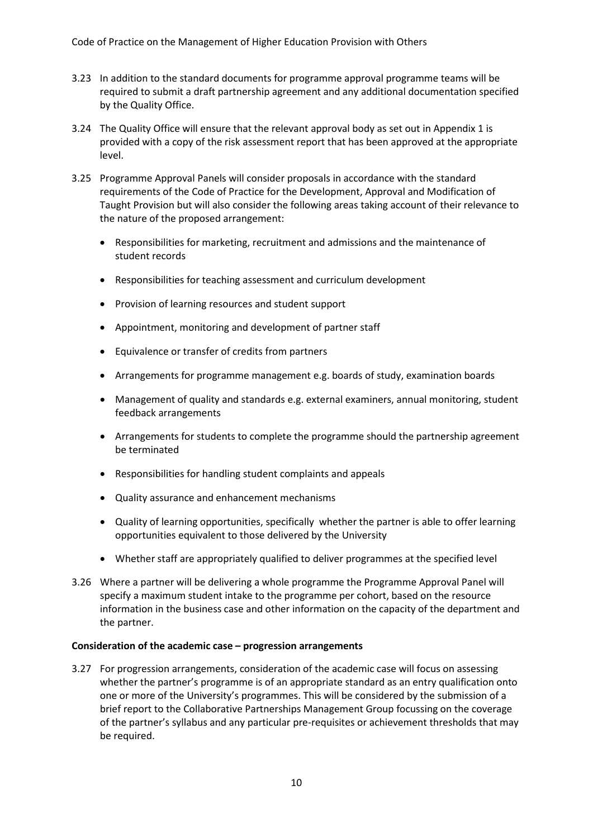- 3.23 In addition to the standard documents for programme approval programme teams will be required to submit a draft partnership agreement and any additional documentation specified by the Quality Office.
- 3.24 The Quality Office will ensure that the relevant approval body as set out in Appendix 1 is provided with a copy of the risk assessment report that has been approved at the appropriate level.
- 3.25 Programme Approval Panels will consider proposals in accordance with the standard requirements of the Code of Practice for the Development, Approval and Modification of Taught Provision but will also consider the following areas taking account of their relevance to the nature of the proposed arrangement:
	- Responsibilities for marketing, recruitment and admissions and the maintenance of student records
	- Responsibilities for teaching assessment and curriculum development
	- Provision of learning resources and student support
	- Appointment, monitoring and development of partner staff
	- Equivalence or transfer of credits from partners
	- Arrangements for programme management e.g. boards of study, examination boards
	- Management of quality and standards e.g. external examiners, annual monitoring, student feedback arrangements
	- Arrangements for students to complete the programme should the partnership agreement be terminated
	- Responsibilities for handling student complaints and appeals
	- Quality assurance and enhancement mechanisms
	- Quality of learning opportunities, specifically whether the partner is able to offer learning opportunities equivalent to those delivered by the University
	- Whether staff are appropriately qualified to deliver programmes at the specified level
- 3.26 Where a partner will be delivering a whole programme the Programme Approval Panel will specify a maximum student intake to the programme per cohort, based on the resource information in the business case and other information on the capacity of the department and the partner.

#### **Consideration of the academic case – progression arrangements**

3.27 For progression arrangements, consideration of the academic case will focus on assessing whether the partner's programme is of an appropriate standard as an entry qualification onto one or more of the University's programmes. This will be considered by the submission of a brief report to the Collaborative Partnerships Management Group focussing on the coverage of the partner's syllabus and any particular pre-requisites or achievement thresholds that may be required.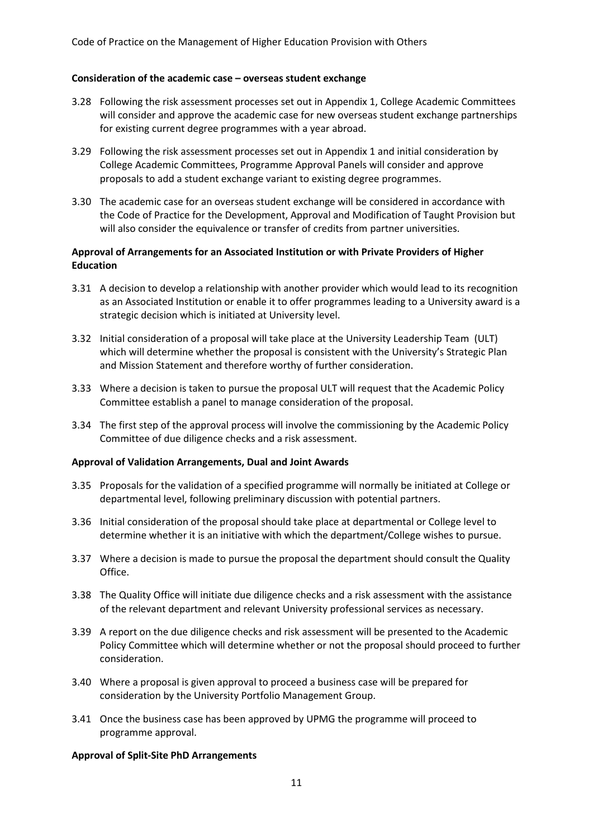#### **Consideration of the academic case – overseas student exchange**

- 3.28 Following the risk assessment processes set out in Appendix 1, College Academic Committees will consider and approve the academic case for new overseas student exchange partnerships for existing current degree programmes with a year abroad.
- 3.29 Following the risk assessment processes set out in Appendix 1 and initial consideration by College Academic Committees, Programme Approval Panels will consider and approve proposals to add a student exchange variant to existing degree programmes.
- 3.30 The academic case for an overseas student exchange will be considered in accordance with the Code of Practice for the Development, Approval and Modification of Taught Provision but will also consider the equivalence or transfer of credits from partner universities.

#### **Approval of Arrangements for an Associated Institution or with Private Providers of Higher Education**

- 3.31 A decision to develop a relationship with another provider which would lead to its recognition as an Associated Institution or enable it to offer programmes leading to a University award is a strategic decision which is initiated at University level.
- 3.32 Initial consideration of a proposal will take place at the University Leadership Team (ULT) which will determine whether the proposal is consistent with the University's Strategic Plan and Mission Statement and therefore worthy of further consideration.
- 3.33 Where a decision is taken to pursue the proposal ULT will request that the Academic Policy Committee establish a panel to manage consideration of the proposal.
- 3.34 The first step of the approval process will involve the commissioning by the Academic Policy Committee of due diligence checks and a risk assessment.

#### **Approval of Validation Arrangements, Dual and Joint Awards**

- 3.35 Proposals for the validation of a specified programme will normally be initiated at College or departmental level, following preliminary discussion with potential partners.
- 3.36 Initial consideration of the proposal should take place at departmental or College level to determine whether it is an initiative with which the department/College wishes to pursue.
- 3.37 Where a decision is made to pursue the proposal the department should consult the Quality Office.
- 3.38 The Quality Office will initiate due diligence checks and a risk assessment with the assistance of the relevant department and relevant University professional services as necessary.
- 3.39 A report on the due diligence checks and risk assessment will be presented to the Academic Policy Committee which will determine whether or not the proposal should proceed to further consideration.
- 3.40 Where a proposal is given approval to proceed a business case will be prepared for consideration by the University Portfolio Management Group.
- 3.41 Once the business case has been approved by UPMG the programme will proceed to programme approval.

#### **Approval of Split-Site PhD Arrangements**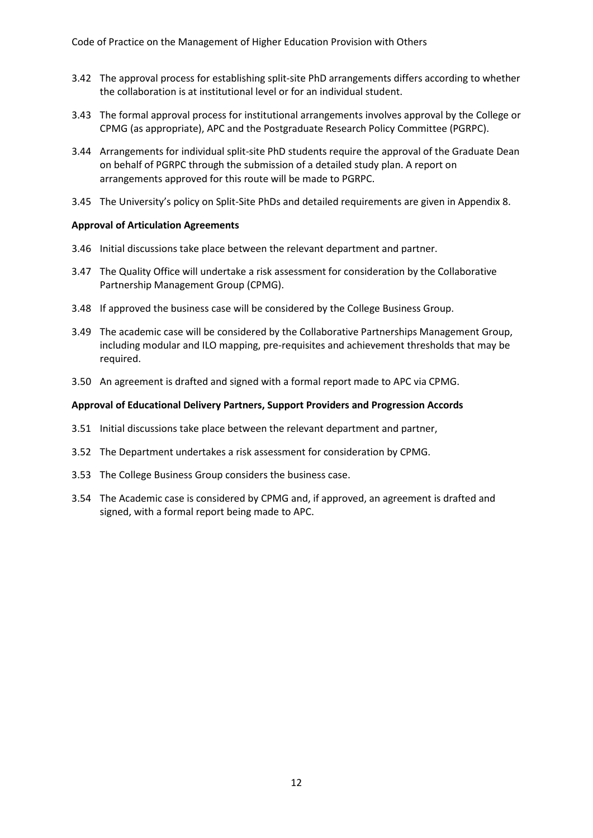- 3.42 The approval process for establishing split-site PhD arrangements differs according to whether the collaboration is at institutional level or for an individual student.
- 3.43 The formal approval process for institutional arrangements involves approval by the College or CPMG (as appropriate), APC and the Postgraduate Research Policy Committee (PGRPC).
- 3.44 Arrangements for individual split-site PhD students require the approval of the Graduate Dean on behalf of PGRPC through the submission of a detailed study plan. A report on arrangements approved for this route will be made to PGRPC.
- 3.45 The University's policy on Split-Site PhDs and detailed requirements are given in Appendix 8.

### **Approval of Articulation Agreements**

- 3.46 Initial discussions take place between the relevant department and partner.
- 3.47 The Quality Office will undertake a risk assessment for consideration by the Collaborative Partnership Management Group (CPMG).
- 3.48 If approved the business case will be considered by the College Business Group.
- 3.49 The academic case will be considered by the Collaborative Partnerships Management Group, including modular and ILO mapping, pre-requisites and achievement thresholds that may be required.
- 3.50 An agreement is drafted and signed with a formal report made to APC via CPMG.

#### **Approval of Educational Delivery Partners, Support Providers and Progression Accords**

- 3.51 Initial discussions take place between the relevant department and partner,
- 3.52 The Department undertakes a risk assessment for consideration by CPMG.
- 3.53 The College Business Group considers the business case.
- 3.54 The Academic case is considered by CPMG and, if approved, an agreement is drafted and signed, with a formal report being made to APC.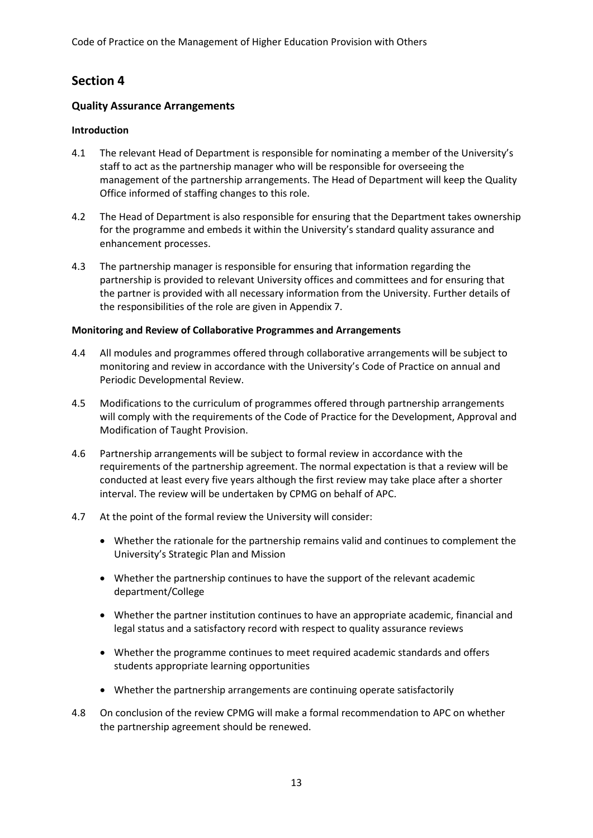## **Section 4**

### **Quality Assurance Arrangements**

#### **Introduction**

- 4.1 The relevant Head of Department is responsible for nominating a member of the University's staff to act as the partnership manager who will be responsible for overseeing the management of the partnership arrangements. The Head of Department will keep the Quality Office informed of staffing changes to this role.
- 4.2 The Head of Department is also responsible for ensuring that the Department takes ownership for the programme and embeds it within the University's standard quality assurance and enhancement processes.
- 4.3 The partnership manager is responsible for ensuring that information regarding the partnership is provided to relevant University offices and committees and for ensuring that the partner is provided with all necessary information from the University. Further details of the responsibilities of the role are given in Appendix 7.

#### **Monitoring and Review of Collaborative Programmes and Arrangements**

- 4.4 All modules and programmes offered through collaborative arrangements will be subject to monitoring and review in accordance with the University's Code of Practice on annual and Periodic Developmental Review.
- 4.5 Modifications to the curriculum of programmes offered through partnership arrangements will comply with the requirements of the Code of Practice for the Development, Approval and Modification of Taught Provision.
- 4.6 Partnership arrangements will be subject to formal review in accordance with the requirements of the partnership agreement. The normal expectation is that a review will be conducted at least every five years although the first review may take place after a shorter interval. The review will be undertaken by CPMG on behalf of APC.
- 4.7 At the point of the formal review the University will consider:
	- Whether the rationale for the partnership remains valid and continues to complement the University's Strategic Plan and Mission
	- Whether the partnership continues to have the support of the relevant academic department/College
	- Whether the partner institution continues to have an appropriate academic, financial and legal status and a satisfactory record with respect to quality assurance reviews
	- Whether the programme continues to meet required academic standards and offers students appropriate learning opportunities
	- Whether the partnership arrangements are continuing operate satisfactorily
- 4.8 On conclusion of the review CPMG will make a formal recommendation to APC on whether the partnership agreement should be renewed.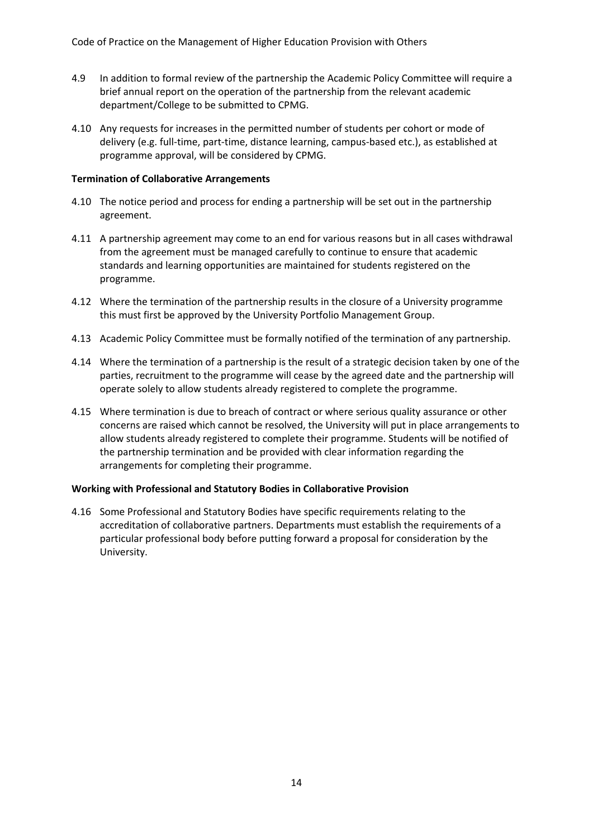- 4.9 In addition to formal review of the partnership the Academic Policy Committee will require a brief annual report on the operation of the partnership from the relevant academic department/College to be submitted to CPMG.
- 4.10 Any requests for increases in the permitted number of students per cohort or mode of delivery (e.g. full-time, part-time, distance learning, campus-based etc.), as established at programme approval, will be considered by CPMG.

#### **Termination of Collaborative Arrangements**

- 4.10 The notice period and process for ending a partnership will be set out in the partnership agreement.
- 4.11 A partnership agreement may come to an end for various reasons but in all cases withdrawal from the agreement must be managed carefully to continue to ensure that academic standards and learning opportunities are maintained for students registered on the programme.
- 4.12 Where the termination of the partnership results in the closure of a University programme this must first be approved by the University Portfolio Management Group.
- 4.13 Academic Policy Committee must be formally notified of the termination of any partnership.
- 4.14 Where the termination of a partnership is the result of a strategic decision taken by one of the parties, recruitment to the programme will cease by the agreed date and the partnership will operate solely to allow students already registered to complete the programme.
- 4.15 Where termination is due to breach of contract or where serious quality assurance or other concerns are raised which cannot be resolved, the University will put in place arrangements to allow students already registered to complete their programme. Students will be notified of the partnership termination and be provided with clear information regarding the arrangements for completing their programme.

#### **Working with Professional and Statutory Bodies in Collaborative Provision**

4.16 Some Professional and Statutory Bodies have specific requirements relating to the accreditation of collaborative partners. Departments must establish the requirements of a particular professional body before putting forward a proposal for consideration by the University.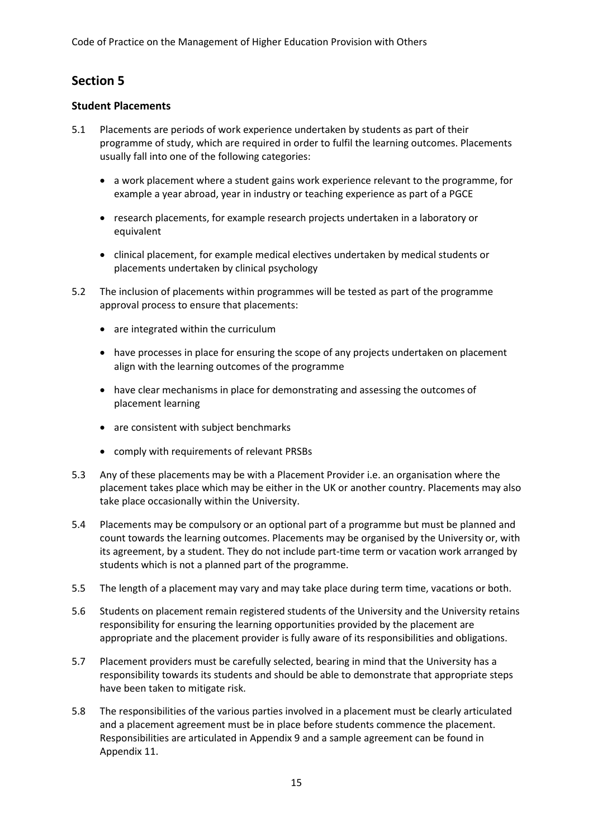# **Section 5**

## **Student Placements**

- 5.1 Placements are periods of work experience undertaken by students as part of their programme of study, which are required in order to fulfil the learning outcomes. Placements usually fall into one of the following categories:
	- a work placement where a student gains work experience relevant to the programme, for example a year abroad, year in industry or teaching experience as part of a PGCE
	- research placements, for example research projects undertaken in a laboratory or equivalent
	- clinical placement, for example medical electives undertaken by medical students or placements undertaken by clinical psychology
- 5.2 The inclusion of placements within programmes will be tested as part of the programme approval process to ensure that placements:
	- are integrated within the curriculum
	- have processes in place for ensuring the scope of any projects undertaken on placement align with the learning outcomes of the programme
	- have clear mechanisms in place for demonstrating and assessing the outcomes of placement learning
	- are consistent with subject benchmarks
	- comply with requirements of relevant PRSBs
- 5.3 Any of these placements may be with a Placement Provider i.e. an organisation where the placement takes place which may be either in the UK or another country. Placements may also take place occasionally within the University.
- 5.4 Placements may be compulsory or an optional part of a programme but must be planned and count towards the learning outcomes. Placements may be organised by the University or, with its agreement, by a student. They do not include part-time term or vacation work arranged by students which is not a planned part of the programme.
- 5.5 The length of a placement may vary and may take place during term time, vacations or both.
- 5.6 Students on placement remain registered students of the University and the University retains responsibility for ensuring the learning opportunities provided by the placement are appropriate and the placement provider is fully aware of its responsibilities and obligations.
- 5.7 Placement providers must be carefully selected, bearing in mind that the University has a responsibility towards its students and should be able to demonstrate that appropriate steps have been taken to mitigate risk.
- 5.8 The responsibilities of the various parties involved in a placement must be clearly articulated and a placement agreement must be in place before students commence the placement. Responsibilities are articulated in Appendix 9 and a sample agreement can be found in Appendix 11.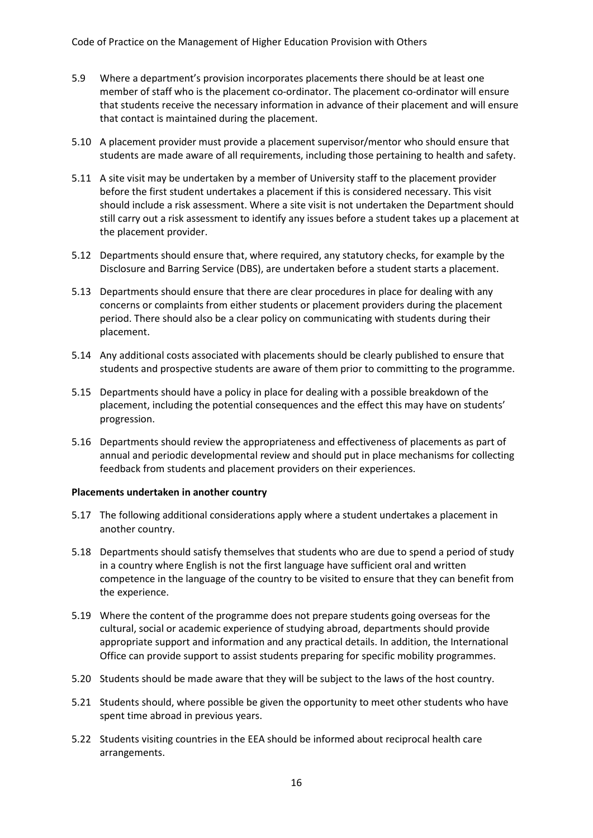Code of Practice on the Management of Higher Education Provision with Others

- 5.9 Where a department's provision incorporates placements there should be at least one member of staff who is the placement co-ordinator. The placement co-ordinator will ensure that students receive the necessary information in advance of their placement and will ensure that contact is maintained during the placement.
- 5.10 A placement provider must provide a placement supervisor/mentor who should ensure that students are made aware of all requirements, including those pertaining to health and safety.
- 5.11 A site visit may be undertaken by a member of University staff to the placement provider before the first student undertakes a placement if this is considered necessary. This visit should include a risk assessment. Where a site visit is not undertaken the Department should still carry out a risk assessment to identify any issues before a student takes up a placement at the placement provider.
- 5.12 Departments should ensure that, where required, any statutory checks, for example by the Disclosure and Barring Service (DBS), are undertaken before a student starts a placement.
- 5.13 Departments should ensure that there are clear procedures in place for dealing with any concerns or complaints from either students or placement providers during the placement period. There should also be a clear policy on communicating with students during their placement.
- 5.14 Any additional costs associated with placements should be clearly published to ensure that students and prospective students are aware of them prior to committing to the programme.
- 5.15 Departments should have a policy in place for dealing with a possible breakdown of the placement, including the potential consequences and the effect this may have on students' progression.
- 5.16 Departments should review the appropriateness and effectiveness of placements as part of annual and periodic developmental review and should put in place mechanisms for collecting feedback from students and placement providers on their experiences.

#### **Placements undertaken in another country**

- 5.17 The following additional considerations apply where a student undertakes a placement in another country.
- 5.18 Departments should satisfy themselves that students who are due to spend a period of study in a country where English is not the first language have sufficient oral and written competence in the language of the country to be visited to ensure that they can benefit from the experience.
- 5.19 Where the content of the programme does not prepare students going overseas for the cultural, social or academic experience of studying abroad, departments should provide appropriate support and information and any practical details. In addition, the International Office can provide support to assist students preparing for specific mobility programmes.
- 5.20 Students should be made aware that they will be subject to the laws of the host country.
- 5.21 Students should, where possible be given the opportunity to meet other students who have spent time abroad in previous years.
- 5.22 Students visiting countries in the EEA should be informed about reciprocal health care arrangements.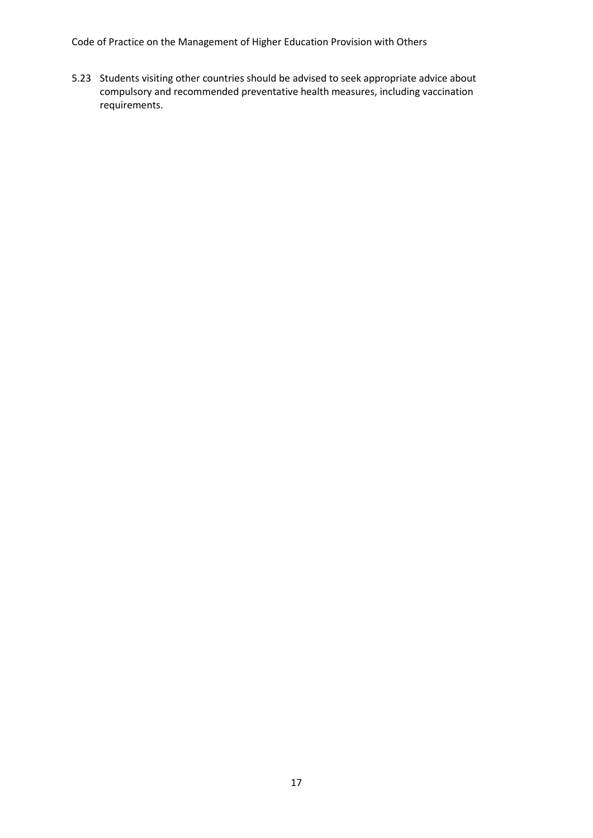Code of Practice on the Management of Higher Education Provision with Others

5.23 Students visiting other countries should be advised to seek appropriate advice about compulsory and recommended preventative health measures, including vaccination requirements.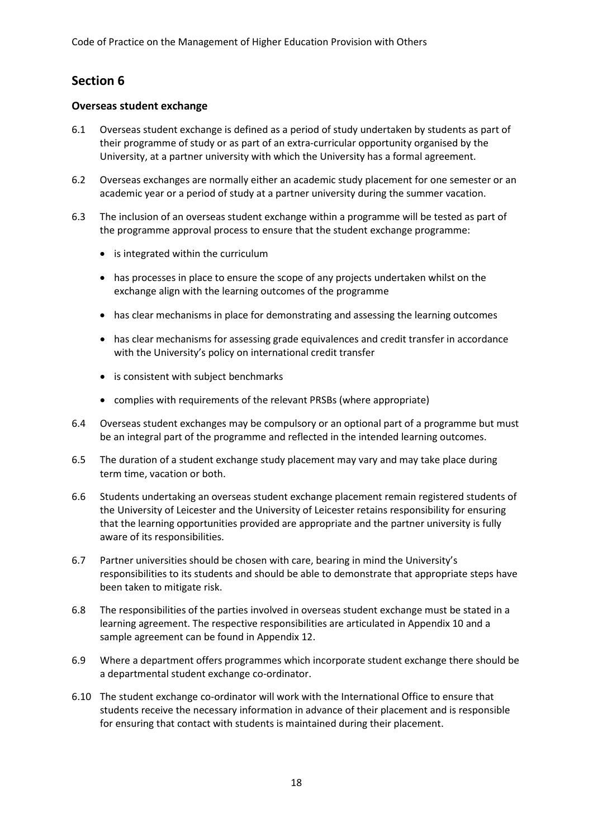# **Section 6**

## **Overseas student exchange**

- 6.1 Overseas student exchange is defined as a period of study undertaken by students as part of their programme of study or as part of an extra-curricular opportunity organised by the University, at a partner university with which the University has a formal agreement.
- 6.2 Overseas exchanges are normally either an academic study placement for one semester or an academic year or a period of study at a partner university during the summer vacation.
- 6.3 The inclusion of an overseas student exchange within a programme will be tested as part of the programme approval process to ensure that the student exchange programme:
	- is integrated within the curriculum
	- has processes in place to ensure the scope of any projects undertaken whilst on the exchange align with the learning outcomes of the programme
	- has clear mechanisms in place for demonstrating and assessing the learning outcomes
	- has clear mechanisms for assessing grade equivalences and credit transfer in accordance with the University's policy on international credit transfer
	- is consistent with subject benchmarks
	- complies with requirements of the relevant PRSBs (where appropriate)
- 6.4 Overseas student exchanges may be compulsory or an optional part of a programme but must be an integral part of the programme and reflected in the intended learning outcomes.
- 6.5 The duration of a student exchange study placement may vary and may take place during term time, vacation or both.
- 6.6 Students undertaking an overseas student exchange placement remain registered students of the University of Leicester and the University of Leicester retains responsibility for ensuring that the learning opportunities provided are appropriate and the partner university is fully aware of its responsibilities.
- 6.7 Partner universities should be chosen with care, bearing in mind the University's responsibilities to its students and should be able to demonstrate that appropriate steps have been taken to mitigate risk.
- 6.8 The responsibilities of the parties involved in overseas student exchange must be stated in a learning agreement. The respective responsibilities are articulated in Appendix 10 and a sample agreement can be found in Appendix 12.
- 6.9 Where a department offers programmes which incorporate student exchange there should be a departmental student exchange co-ordinator.
- 6.10 The student exchange co-ordinator will work with the International Office to ensure that students receive the necessary information in advance of their placement and is responsible for ensuring that contact with students is maintained during their placement.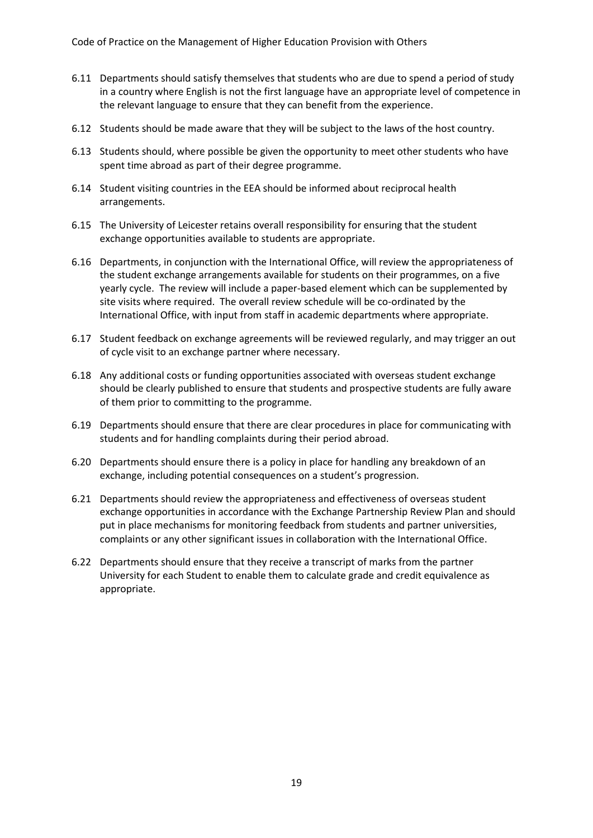- 6.11 Departments should satisfy themselves that students who are due to spend a period of study in a country where English is not the first language have an appropriate level of competence in the relevant language to ensure that they can benefit from the experience.
- 6.12 Students should be made aware that they will be subject to the laws of the host country.
- 6.13 Students should, where possible be given the opportunity to meet other students who have spent time abroad as part of their degree programme.
- 6.14 Student visiting countries in the EEA should be informed about reciprocal health arrangements.
- 6.15 The University of Leicester retains overall responsibility for ensuring that the student exchange opportunities available to students are appropriate.
- 6.16 Departments, in conjunction with the International Office, will review the appropriateness of the student exchange arrangements available for students on their programmes, on a five yearly cycle. The review will include a paper-based element which can be supplemented by site visits where required. The overall review schedule will be co-ordinated by the International Office, with input from staff in academic departments where appropriate.
- 6.17 Student feedback on exchange agreements will be reviewed regularly, and may trigger an out of cycle visit to an exchange partner where necessary.
- 6.18 Any additional costs or funding opportunities associated with overseas student exchange should be clearly published to ensure that students and prospective students are fully aware of them prior to committing to the programme.
- 6.19 Departments should ensure that there are clear procedures in place for communicating with students and for handling complaints during their period abroad.
- 6.20 Departments should ensure there is a policy in place for handling any breakdown of an exchange, including potential consequences on a student's progression.
- 6.21 Departments should review the appropriateness and effectiveness of overseas student exchange opportunities in accordance with the Exchange Partnership Review Plan and should put in place mechanisms for monitoring feedback from students and partner universities, complaints or any other significant issues in collaboration with the International Office.
- 6.22 Departments should ensure that they receive a transcript of marks from the partner University for each Student to enable them to calculate grade and credit equivalence as appropriate.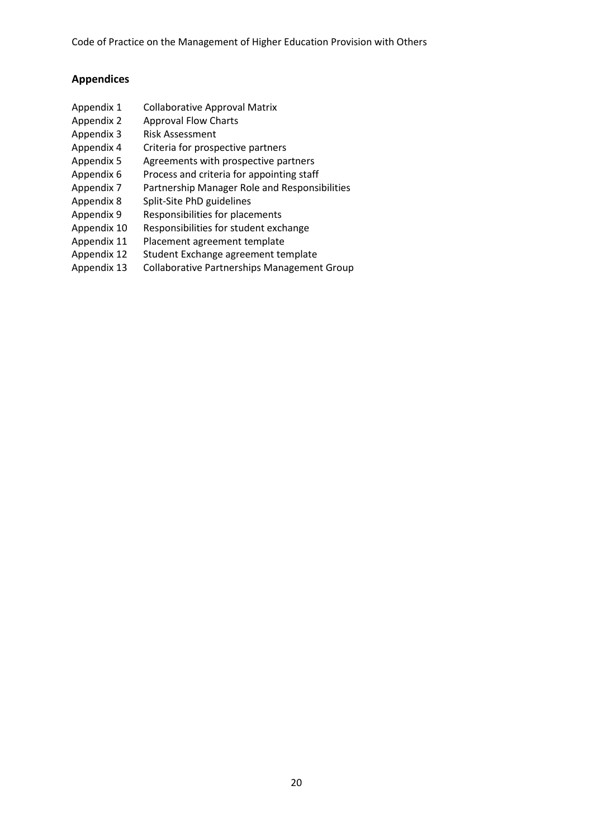Code of Practice on the Management of Higher Education Provision with Others

## **Appendices**

- Appendix 1 Collaborative Approval Matrix
- Appendix 2 Approval Flow Charts
- Appendix 3 Risk Assessment
- Appendix 4 Criteria for prospective partners
- Appendix 5 Agreements with prospective partners
- Appendix 6 Process and criteria for appointing staff
- Appendix 7 Partnership Manager Role and Responsibilities
- Appendix 8 Split-Site PhD guidelines
- Appendix 9 Responsibilities for placements
- Appendix 10 Responsibilities for student exchange
- Appendix 11 Placement agreement template
- Appendix 12 Student Exchange agreement template
- Appendix 13 Collaborative Partnerships Management Group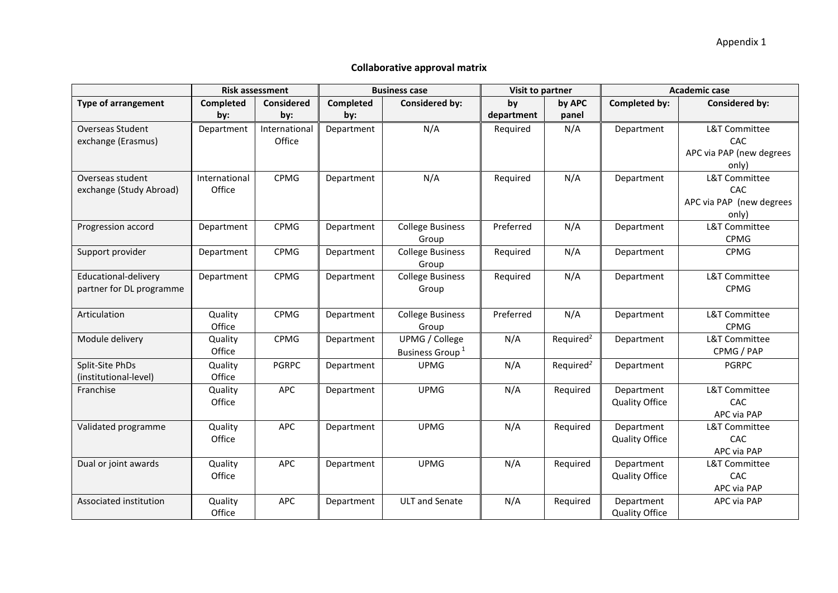### **Collaborative approval matrix**

|                            |               | <b>Risk assessment</b> |                  | <b>Business case</b>        | Visit to partner |                       | <b>Academic case</b>  |                          |
|----------------------------|---------------|------------------------|------------------|-----------------------------|------------------|-----------------------|-----------------------|--------------------------|
| <b>Type of arrangement</b> | Completed     | <b>Considered</b>      | <b>Completed</b> | Considered by:              | by               | by APC                | Completed by:         | <b>Considered by:</b>    |
|                            | by:           | by:                    | by:              |                             | department       | panel                 |                       |                          |
| <b>Overseas Student</b>    | Department    | International          | Department       | N/A                         | Required         | N/A                   | Department            | L&T Committee            |
| exchange (Erasmus)         |               | Office                 |                  |                             |                  |                       |                       | CAC                      |
|                            |               |                        |                  |                             |                  |                       |                       | APC via PAP (new degrees |
|                            |               |                        |                  |                             |                  |                       |                       | only)                    |
| Overseas student           | International | <b>CPMG</b>            | Department       | N/A                         | Required         | N/A                   | Department            | L&T Committee            |
| exchange (Study Abroad)    | Office        |                        |                  |                             |                  |                       |                       | CAC                      |
|                            |               |                        |                  |                             |                  |                       |                       | APC via PAP (new degrees |
|                            |               |                        |                  |                             |                  |                       |                       | only)                    |
| Progression accord         | Department    | <b>CPMG</b>            | Department       | <b>College Business</b>     | Preferred        | N/A                   | Department            | L&T Committee            |
|                            |               |                        |                  | Group                       |                  |                       |                       | <b>CPMG</b>              |
| Support provider           | Department    | <b>CPMG</b>            | Department       | <b>College Business</b>     | Required         | N/A                   | Department            | <b>CPMG</b>              |
|                            |               |                        |                  | Group                       |                  |                       |                       |                          |
| Educational-delivery       | Department    | <b>CPMG</b>            | Department       | <b>College Business</b>     | Required         | N/A                   | Department            | L&T Committee            |
| partner for DL programme   |               |                        |                  | Group                       |                  |                       |                       | <b>CPMG</b>              |
|                            |               |                        |                  |                             |                  |                       |                       |                          |
| Articulation               | Quality       | <b>CPMG</b>            | Department       | <b>College Business</b>     | Preferred        | N/A                   | Department            | L&T Committee            |
|                            | Office        |                        |                  | Group                       |                  |                       |                       | <b>CPMG</b>              |
| Module delivery            | Quality       | <b>CPMG</b>            | Department       | UPMG / College              | N/A              | Required <sup>2</sup> | Department            | <b>L&amp;T Committee</b> |
|                            | Office        |                        |                  | Business Group <sup>1</sup> |                  |                       |                       | CPMG / PAP               |
| Split-Site PhDs            | Quality       | <b>PGRPC</b>           | Department       | <b>UPMG</b>                 | N/A              | Required <sup>2</sup> | Department            | <b>PGRPC</b>             |
| (institutional-level)      | Office        |                        |                  |                             |                  |                       |                       |                          |
| Franchise                  | Quality       | APC                    | Department       | <b>UPMG</b>                 | N/A              | Required              | Department            | L&T Committee            |
|                            | Office        |                        |                  |                             |                  |                       | <b>Quality Office</b> | CAC                      |
|                            |               |                        |                  |                             |                  |                       |                       | APC via PAP              |
| Validated programme        | Quality       | <b>APC</b>             | Department       | <b>UPMG</b>                 | N/A              | Required              | Department            | <b>L&amp;T Committee</b> |
|                            | Office        |                        |                  |                             |                  |                       | <b>Quality Office</b> | CAC                      |
|                            |               |                        |                  |                             |                  |                       |                       | APC via PAP              |
| Dual or joint awards       | Quality       | <b>APC</b>             | Department       | <b>UPMG</b>                 | N/A              | Required              | Department            | L&T Committee            |
|                            | Office        |                        |                  |                             |                  |                       | <b>Quality Office</b> | CAC                      |
|                            |               |                        |                  |                             |                  |                       |                       | APC via PAP              |
| Associated institution     | Quality       | APC                    | Department       | <b>ULT</b> and Senate       | N/A              | Required              | Department            | APC via PAP              |
|                            | Office        |                        |                  |                             |                  |                       | <b>Quality Office</b> |                          |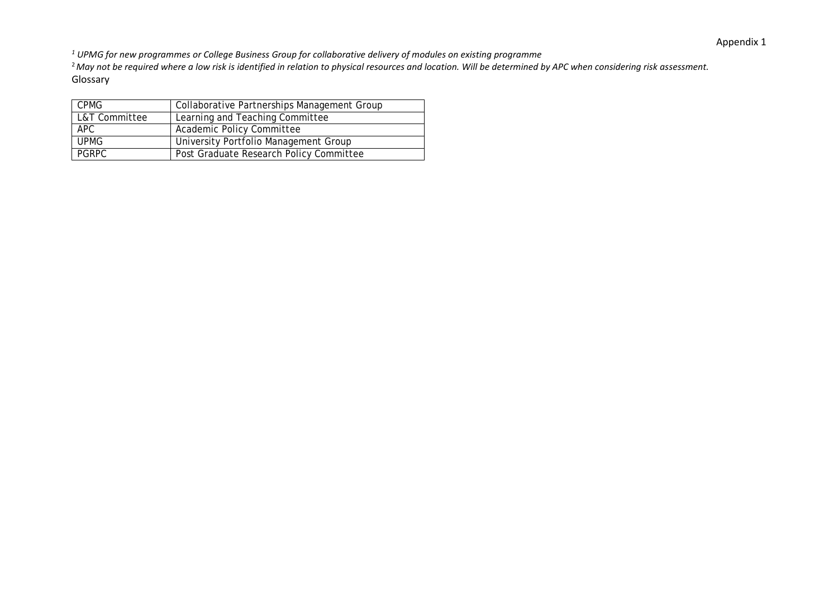*<sup>1</sup> UPMG for new programmes or College Business Group for collaborative delivery of modules on existing programme*

<sup>2</sup>*May not be required where a low risk is identified in relation to physical resources and location. Will be determined by APC when considering risk assessment.* Glossary

| <b>CPMG</b>   | Collaborative Partnerships Management Group |
|---------------|---------------------------------------------|
| L&T Committee | Learning and Teaching Committee             |
| APC           | Academic Policy Committee                   |
| <b>UPMG</b>   | University Portfolio Management Group       |
| PGRPC         | Post Graduate Research Policy Committee     |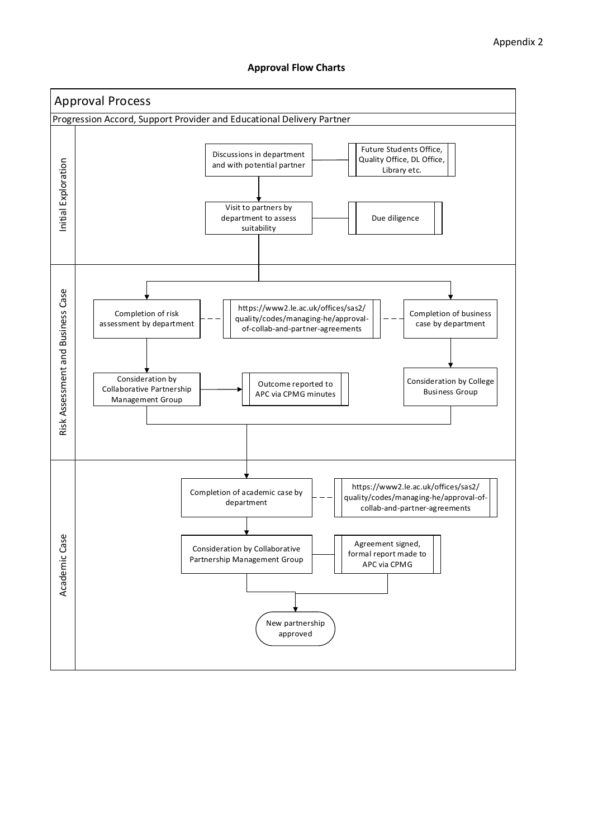#### **Approval Flow Charts**

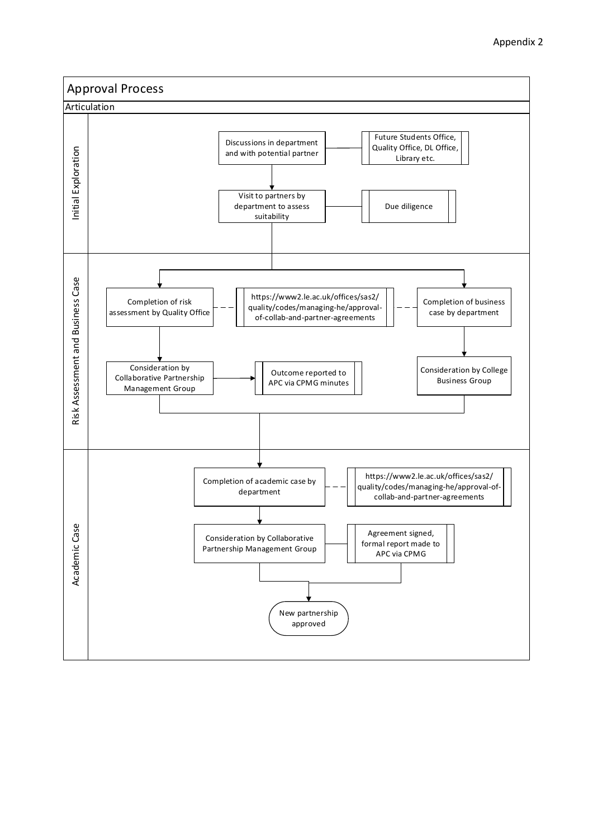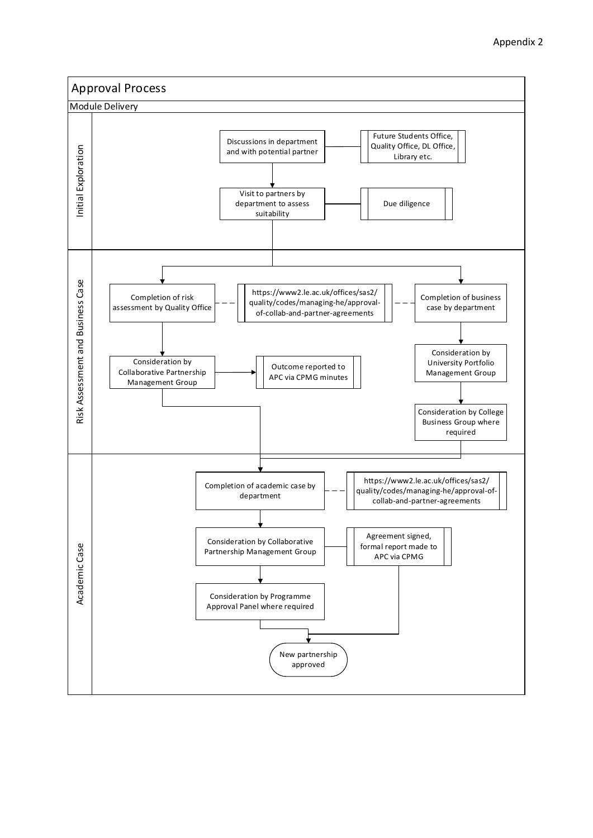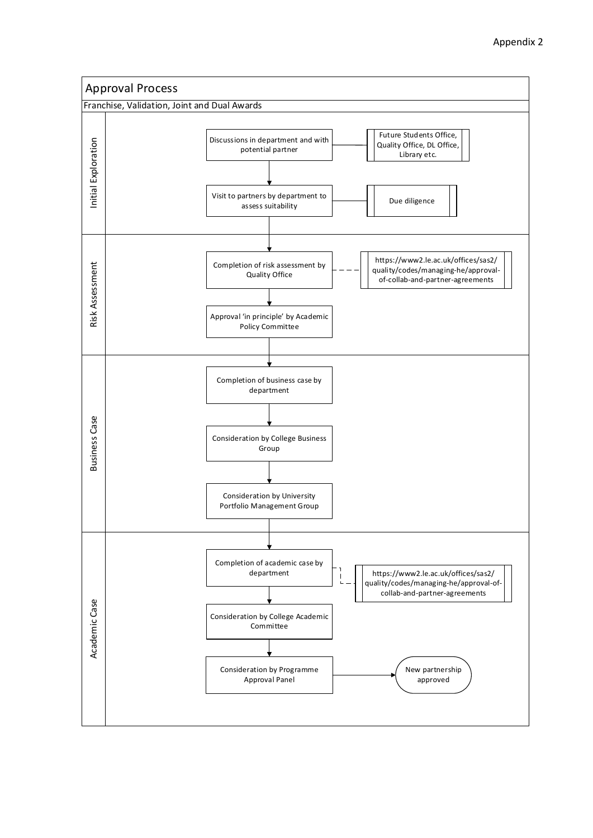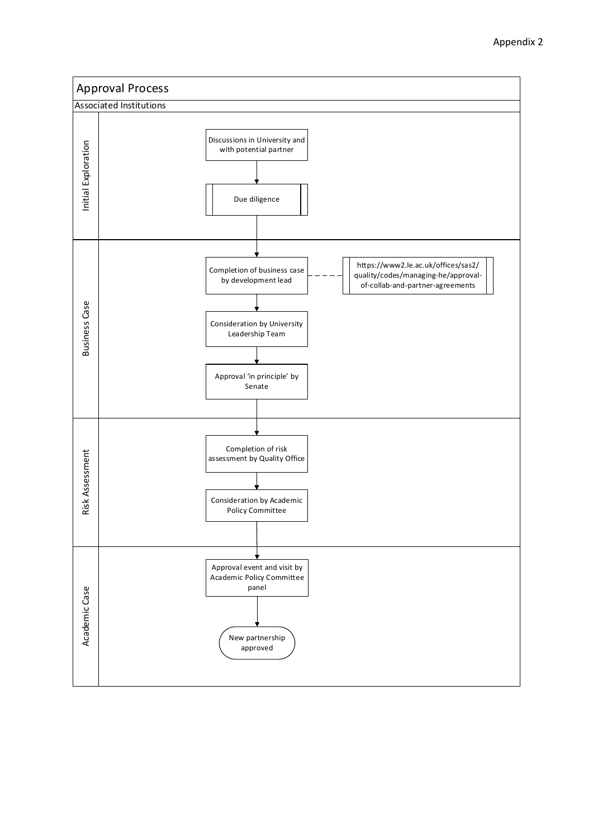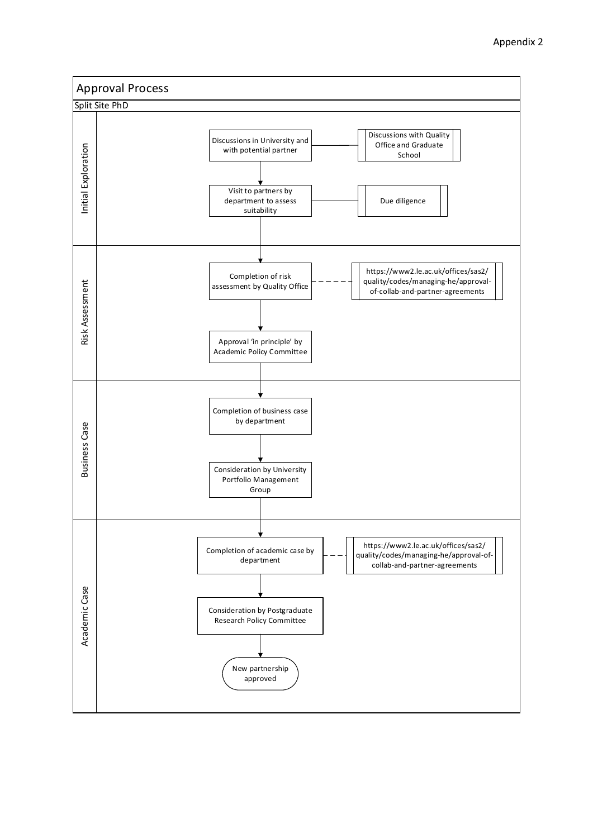![](_page_27_Figure_1.jpeg)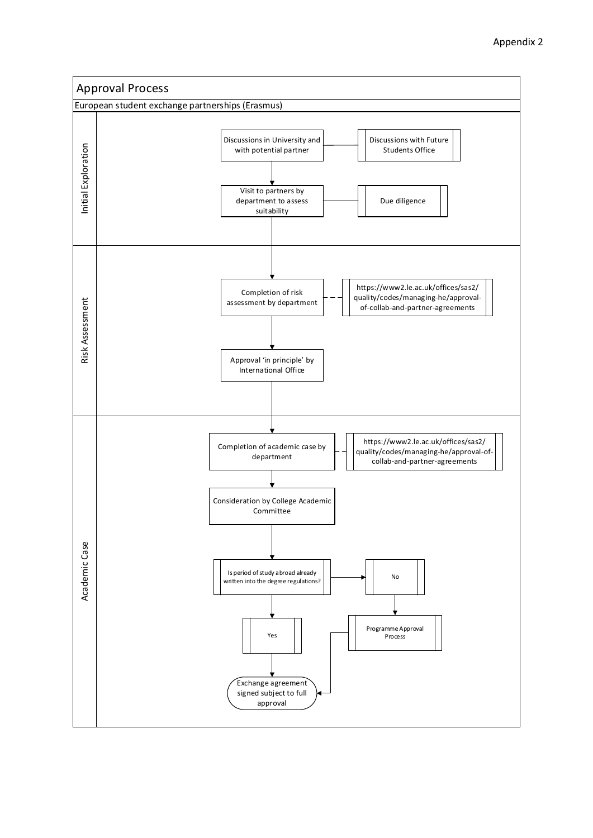![](_page_28_Figure_1.jpeg)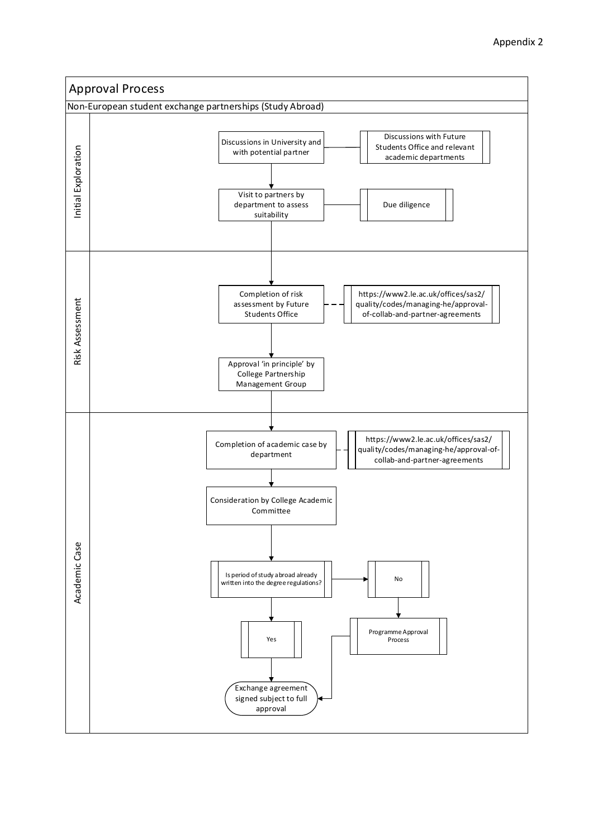![](_page_29_Figure_1.jpeg)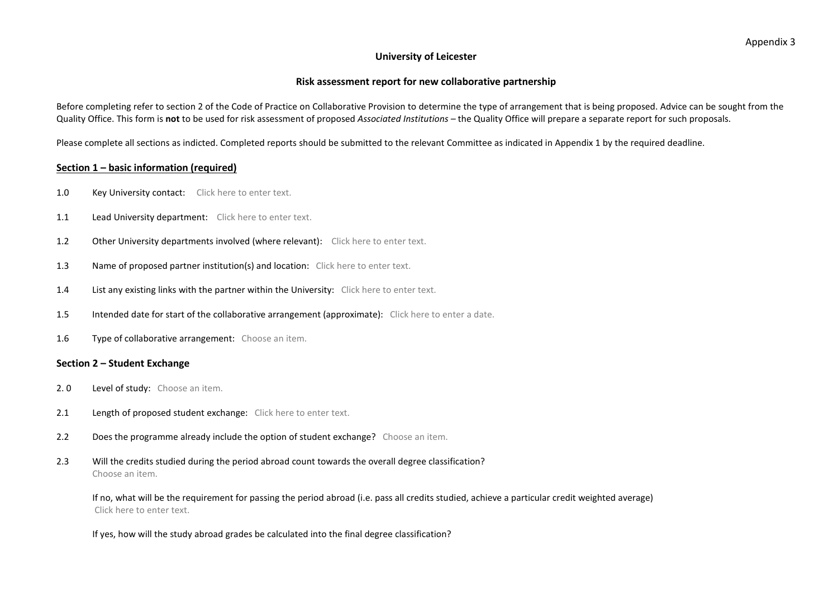#### **University of Leicester**

#### **Risk assessment report for new collaborative partnership**

Before completing refer to section 2 of the Code of Practice on Collaborative Provision to determine the type of arrangement that is being proposed. Advice can be sought from the Quality Office. This form is **not** to be used for risk assessment of proposed *Associated Institutions –* the Quality Office will prepare a separate report for such proposals.

Please complete all sections as indicted. Completed reports should be submitted to the relevant Committee as indicated in Appendix 1 by the required deadline.

#### **Section 1 – basic information (required)**

- 1.0 Key University contact: Click here to enter text.
- 1.1 Lead University department: Click here to enter text.
- 1.2 Other University departments involved (where relevant): Click here to enter text.
- 1.3 Name of proposed partner institution(s) and location: Click here to enter text.
- 1.4 List any existing links with the partner within the University: Click here to enter text.
- 1.5 Intended date for start of the collaborative arrangement (approximate): Click here to enter a date.
- 1.6 Type of collaborative arrangement: Choose an item.

#### **Section 2 – Student Exchange**

- 2. 0 Level of study: Choose an item.
- 2.1 Length of proposed student exchange: Click here to enter text.
- 2.2 Does the programme already include the option of student exchange? Choose an item.
- 2.3 Will the credits studied during the period abroad count towards the overall degree classification? Choose an item.

If no, what will be the requirement for passing the period abroad (i.e. pass all credits studied, achieve a particular credit weighted average) Click here to enter text.

If yes, how will the study abroad grades be calculated into the final degree classification?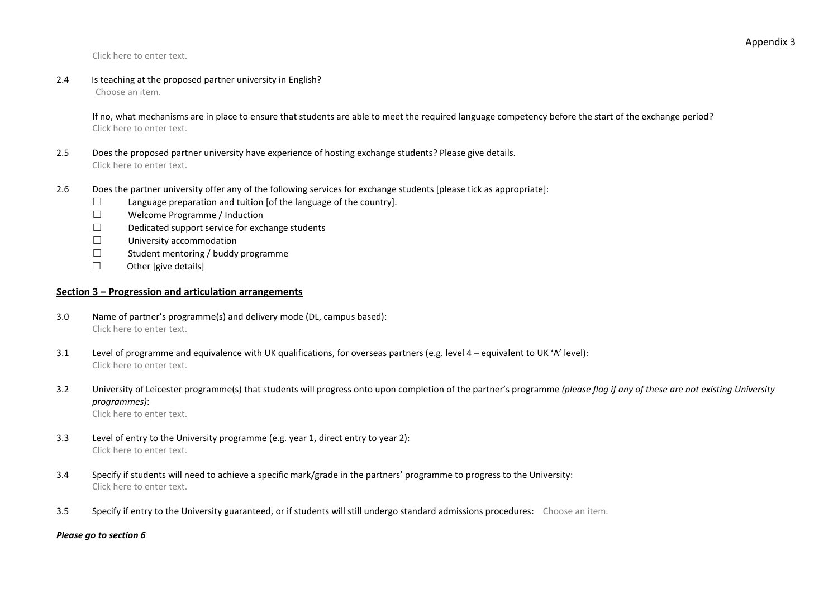Click here to enter text.

2.4 Is teaching at the proposed partner university in English?

Choose an item.

If no, what mechanisms are in place to ensure that students are able to meet the required language competency before the start of the exchange period? Click here to enter text.

- 2.5 Does the proposed partner university have experience of hosting exchange students? Please give details. Click here to enter text.
- 2.6 Does the partner university offer any of the following services for exchange students [please tick as appropriate]:
	- ☐ Language preparation and tuition [of the language of the country].
	- ☐ Welcome Programme / Induction
	- ☐ Dedicated support service for exchange students
	- ☐ University accommodation
	- ☐ Student mentoring / buddy programme
	- ☐ Other [give details]

#### **Section 3 – Progression and articulation arrangements**

- 3.0 Name of partner's programme(s) and delivery mode (DL, campus based): Click here to enter text.
- 3.1 Level of programme and equivalence with UK qualifications, for overseas partners (e.g. level 4 equivalent to UK 'A' level): Click here to enter text.
- 3.2 University of Leicester programme(s) that students will progress onto upon completion of the partner's programme *(please flag if any of these are not existing University programmes)*:

Click here to enter text.

- 3.3 Level of entry to the University programme (e.g. year 1, direct entry to year 2): Click here to enter text.
- 3.4 Specify if students will need to achieve a specific mark/grade in the partners' programme to progress to the University: Click here to enter text.
- 3.5 Specify if entry to the University guaranteed, or if students will still undergo standard admissions procedures: Choose an item.

#### *Please go to section 6*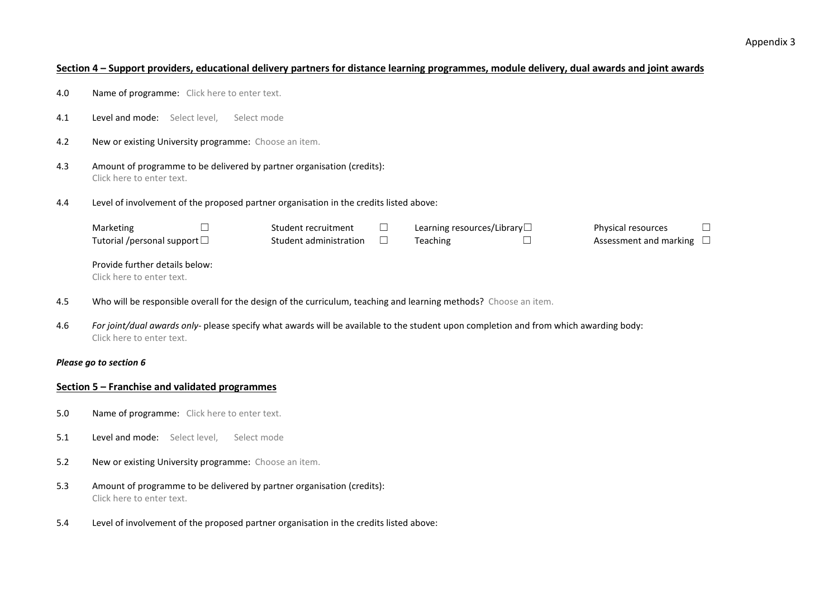#### **Section 4 – Support providers, educational delivery partners for distance learning programmes, module delivery, dual awards and joint awards**

- 4.0 Name of programme: Click here to enter text.
- 4.1 Level and mode: Select level, Select mode
- 4.2 New or existing University programme: Choose an item.
- 4.3 Amount of programme to be delivered by partner organisation (credits): Click here to enter text.
- 4.4 Level of involvement of the proposed partner organisation in the credits listed above:

| Marketing                            | Student recruitment    | Learning resources/Library $\Box$ | Physical resources            |  |
|--------------------------------------|------------------------|-----------------------------------|-------------------------------|--|
| Tutorial /personal support $\square$ | Student administration | <b>Teaching</b>                   | Assessment and marking $\Box$ |  |
|                                      |                        |                                   |                               |  |
| Provide further details below:       |                        |                                   |                               |  |

Click here to enter text.

- 4.5 Who will be responsible overall for the design of the curriculum, teaching and learning methods? Choose an item.
- 4.6 *For joint/dual awards only-* please specify what awards will be available to the student upon completion and from which awarding body: Click here to enter text.

#### *Please go to section 6*

#### **Section 5 – Franchise and validated programmes**

- 5.0 Name of programme: Click here to enter text.
- 5.1 **Level and mode:** Select level. Select mode
- 5.2 New or existing University programme: Choose an item.
- 5.3 Amount of programme to be delivered by partner organisation (credits): Click here to enter text.
- 5.4 Level of involvement of the proposed partner organisation in the credits listed above: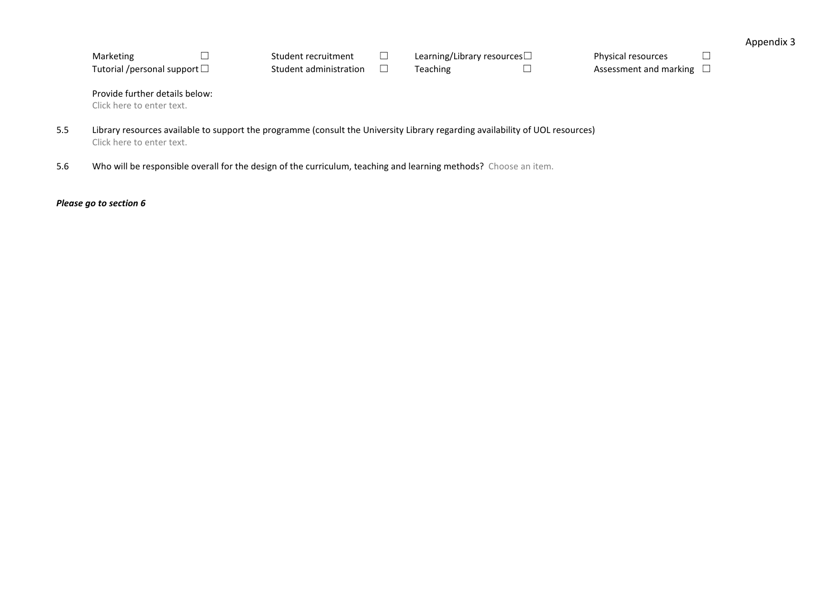| Marketing                            | Student recruitment    | Learning/Library resources $\Box$ | Physical resources            |  |
|--------------------------------------|------------------------|-----------------------------------|-------------------------------|--|
| Tutorial /personal support $\square$ | Student administration | Teaching                          | Assessment and marking $\Box$ |  |

Provide further details below:

Click here to enter text.

- 5.5 Library resources available to support the programme (consult the University Library regarding availability of UOL resources) Click here to enter text.
- 5.6 Who will be responsible overall for the design of the curriculum, teaching and learning methods? Choose an item.

*Please go to section 6*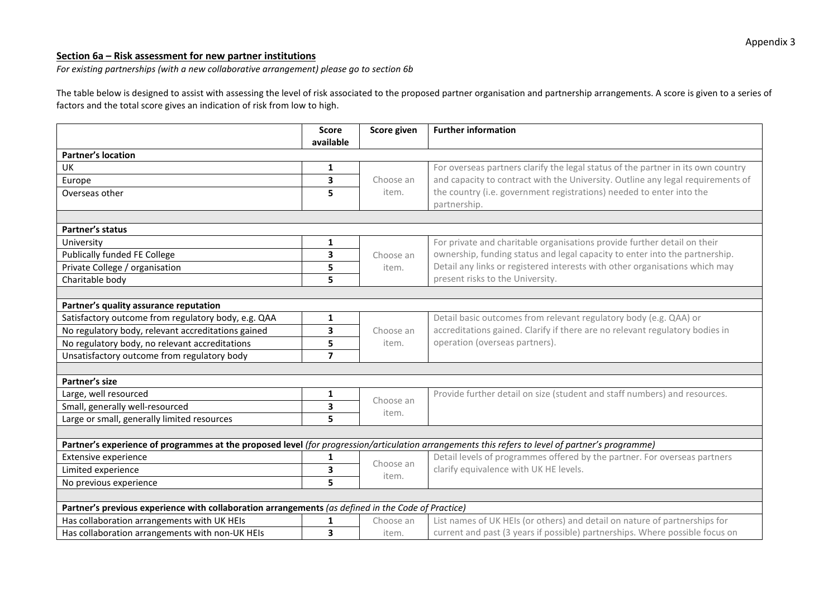### **Section 6a – Risk assessment for new partner institutions**

*For existing partnerships (with a new collaborative arrangement) please go to section 6b*

The table below is designed to assist with assessing the level of risk associated to the proposed partner organisation and partnership arrangements. A score is given to a series of factors and the total score gives an indication of risk from low to high.

|                                                                                                                                                  | <b>Score</b>            | Score given        | <b>Further information</b>                                                           |
|--------------------------------------------------------------------------------------------------------------------------------------------------|-------------------------|--------------------|--------------------------------------------------------------------------------------|
|                                                                                                                                                  | available               |                    |                                                                                      |
| <b>Partner's location</b>                                                                                                                        |                         |                    |                                                                                      |
| UK                                                                                                                                               | 1                       |                    | For overseas partners clarify the legal status of the partner in its own country     |
| Europe                                                                                                                                           | $\overline{\mathbf{3}}$ | Choose an          | and capacity to contract with the University. Outline any legal requirements of      |
| Overseas other                                                                                                                                   | 5                       | item.              | the country (i.e. government registrations) needed to enter into the<br>partnership. |
|                                                                                                                                                  |                         |                    |                                                                                      |
| Partner's status                                                                                                                                 |                         |                    |                                                                                      |
| University                                                                                                                                       | 1                       |                    | For private and charitable organisations provide further detail on their             |
| <b>Publically funded FE College</b>                                                                                                              | 3                       | Choose an          | ownership, funding status and legal capacity to enter into the partnership.          |
| Private College / organisation                                                                                                                   | 5                       | item.              | Detail any links or registered interests with other organisations which may          |
| Charitable body                                                                                                                                  | 5                       |                    | present risks to the University.                                                     |
|                                                                                                                                                  |                         |                    |                                                                                      |
| Partner's quality assurance reputation                                                                                                           |                         |                    |                                                                                      |
| Satisfactory outcome from regulatory body, e.g. QAA                                                                                              | 1                       |                    | Detail basic outcomes from relevant regulatory body (e.g. QAA) or                    |
| No regulatory body, relevant accreditations gained                                                                                               | $\mathbf{3}$            | Choose an          | accreditations gained. Clarify if there are no relevant regulatory bodies in         |
| No regulatory body, no relevant accreditations                                                                                                   | 5                       | item.              | operation (overseas partners).                                                       |
| Unsatisfactory outcome from regulatory body                                                                                                      | $\overline{7}$          |                    |                                                                                      |
|                                                                                                                                                  |                         |                    |                                                                                      |
| Partner's size                                                                                                                                   |                         |                    |                                                                                      |
| Large, well resourced                                                                                                                            | 1                       |                    | Provide further detail on size (student and staff numbers) and resources.            |
| Small, generally well-resourced                                                                                                                  | 3                       | Choose an<br>item. |                                                                                      |
| Large or small, generally limited resources                                                                                                      | 5                       |                    |                                                                                      |
|                                                                                                                                                  |                         |                    |                                                                                      |
| Partner's experience of programmes at the proposed level (for progression/articulation arrangements this refers to level of partner's programme) |                         |                    |                                                                                      |
| Extensive experience                                                                                                                             | 1                       | Choose an          | Detail levels of programmes offered by the partner. For overseas partners            |
| Limited experience                                                                                                                               | 3                       | item.              | clarify equivalence with UK HE levels.                                               |
| No previous experience                                                                                                                           | 5                       |                    |                                                                                      |
|                                                                                                                                                  |                         |                    |                                                                                      |
| Partner's previous experience with collaboration arrangements (as defined in the Code of Practice)                                               |                         |                    |                                                                                      |
| Has collaboration arrangements with UK HEIs                                                                                                      | 1                       | Choose an          | List names of UK HEIs (or others) and detail on nature of partnerships for           |
| Has collaboration arrangements with non-UK HEIs                                                                                                  | 3                       | item.              | current and past (3 years if possible) partnerships. Where possible focus on         |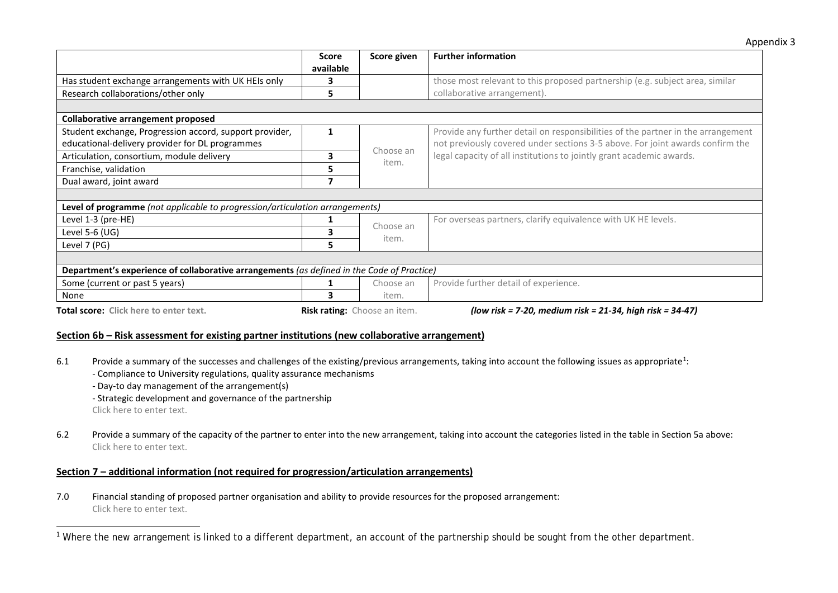<span id="page-35-0"></span>

|                                                                                            |           |                              | '                                                                                |
|--------------------------------------------------------------------------------------------|-----------|------------------------------|----------------------------------------------------------------------------------|
|                                                                                            | Score     | Score given                  | <b>Further information</b>                                                       |
|                                                                                            | available |                              |                                                                                  |
| Has student exchange arrangements with UK HEIs only                                        |           |                              | those most relevant to this proposed partnership (e.g. subject area, similar     |
| Research collaborations/other only                                                         | 5         |                              | collaborative arrangement).                                                      |
|                                                                                            |           |                              |                                                                                  |
| Collaborative arrangement proposed                                                         |           |                              |                                                                                  |
| Student exchange, Progression accord, support provider,                                    |           |                              | Provide any further detail on responsibilities of the partner in the arrangement |
| educational-delivery provider for DL programmes                                            |           |                              | not previously covered under sections 3-5 above. For joint awards confirm the    |
| Articulation, consortium, module delivery                                                  | 3         | Choose an<br>item.           | legal capacity of all institutions to jointly grant academic awards.             |
| Franchise, validation                                                                      | 5         |                              |                                                                                  |
| Dual award, joint award                                                                    |           |                              |                                                                                  |
|                                                                                            |           |                              |                                                                                  |
| Level of programme (not applicable to progression/articulation arrangements)               |           |                              |                                                                                  |
| Level 1-3 (pre-HE)                                                                         |           |                              | For overseas partners, clarify equivalence with UK HE levels.                    |
| Level 5-6 (UG)                                                                             |           | Choose an<br>item.           |                                                                                  |
| Level 7 (PG)                                                                               | 5.        |                              |                                                                                  |
|                                                                                            |           |                              |                                                                                  |
| Department's experience of collaborative arrangements (as defined in the Code of Practice) |           |                              |                                                                                  |
| Some (current or past 5 years)                                                             |           | Choose an                    | Provide further detail of experience.                                            |
| None                                                                                       |           | item.                        |                                                                                  |
| Total score: Click here to enter text.                                                     |           | Risk rating: Choose an item. | (low risk = 7-20, medium risk = 21-34, high risk = 34-47)                        |

#### **Section 6b – Risk assessment for existing partner institutions (new collaborative arrangement)**

6.[1](#page-35-0) Provide a summary of the successes and challenges of the existing/previous arrangements, taking into account the following issues as appropriate<sup>1</sup>:

- Compliance to University regulations, quality assurance mechanisms
- Day-to day management of the arrangement(s)
- Strategic development and governance of the partnership

Click here to enter text.

 $\overline{a}$ 

6.2 Provide a summary of the capacity of the partner to enter into the new arrangement, taking into account the categories listed in the table in Section 5a above: Click here to enter text.

#### **Section 7 – additional information (not required for progression/articulation arrangements)**

7.0 Financial standing of proposed partner organisation and ability to provide resources for the proposed arrangement: Click here to enter text.

<sup>&</sup>lt;sup>1</sup> Where the new arrangement is linked to a different department, an account of the partnership should be sought from the other department.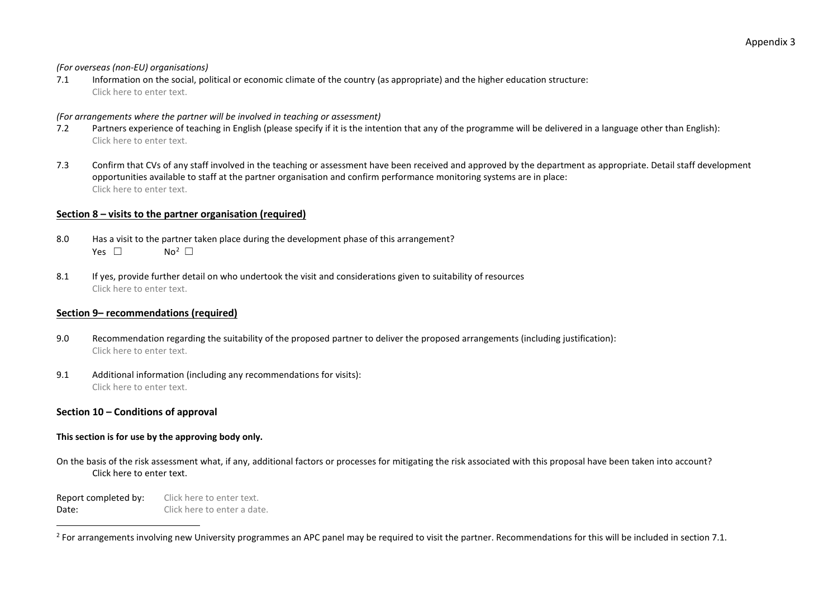#### <span id="page-36-0"></span>*(For overseas (non-EU) organisations)*

7.1 Information on the social, political or economic climate of the country (as appropriate) and the higher education structure: Click here to enter text.

#### *(For arrangements where the partner will be involved in teaching or assessment)*

- 7.2 Partners experience of teaching in English (please specify if it is the intention that any of the programme will be delivered in a language other than English): Click here to enter text.
- 7.3 Confirm that CVs of any staff involved in the teaching or assessment have been received and approved by the department as appropriate. Detail staff development opportunities available to staff at the partner organisation and confirm performance monitoring systems are in place: Click here to enter text.

#### **Section 8 – visits to the partner organisation (required)**

- 8.0 Has a visit to the partner taken place during the development phase of this arrangement? Yes  $□$  $No<sup>2</sup>$
- 8.1 If yes, provide further detail on who undertook the visit and considerations given to suitability of resources Click here to enter text.

#### **Section 9– recommendations (required)**

- 9.0 Recommendation regarding the suitability of the proposed partner to deliver the proposed arrangements (including justification): Click here to enter text.
- 9.1 Additional information (including any recommendations for visits): Click here to enter text.

#### **Section 10 – Conditions of approval**

#### **This section is for use by the approving body only.**

On the basis of the risk assessment what, if any, additional factors or processes for mitigating the risk associated with this proposal have been taken into account? Click here to enter text.

Report completed by: Click here to enter text. Date: Click here to enter a date.

<sup>&</sup>lt;sup>2</sup> For arrangements involving new University programmes an APC panel may be required to visit the partner. Recommendations for this will be included in section 7.1.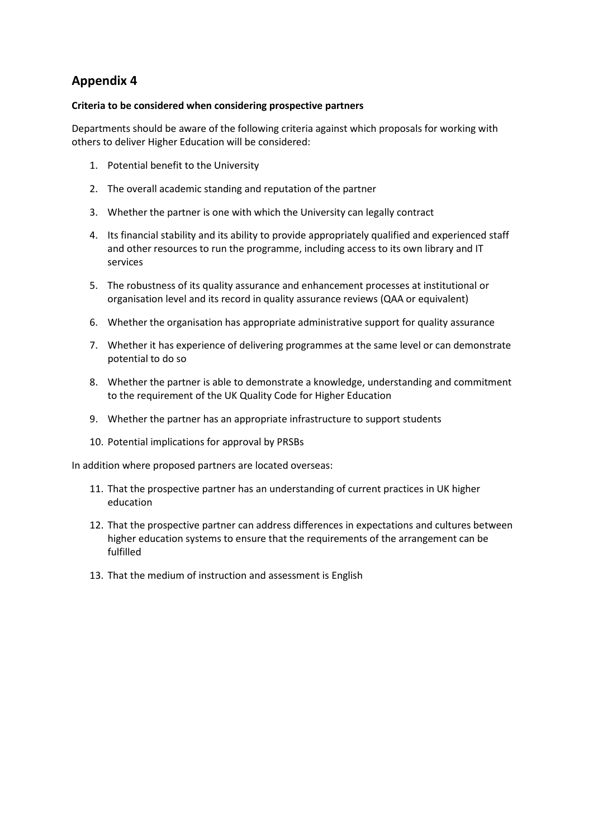### **Criteria to be considered when considering prospective partners**

Departments should be aware of the following criteria against which proposals for working with others to deliver Higher Education will be considered:

- 1. Potential benefit to the University
- 2. The overall academic standing and reputation of the partner
- 3. Whether the partner is one with which the University can legally contract
- 4. Its financial stability and its ability to provide appropriately qualified and experienced staff and other resources to run the programme, including access to its own library and IT services
- 5. The robustness of its quality assurance and enhancement processes at institutional or organisation level and its record in quality assurance reviews (QAA or equivalent)
- 6. Whether the organisation has appropriate administrative support for quality assurance
- 7. Whether it has experience of delivering programmes at the same level or can demonstrate potential to do so
- 8. Whether the partner is able to demonstrate a knowledge, understanding and commitment to the requirement of the UK Quality Code for Higher Education
- 9. Whether the partner has an appropriate infrastructure to support students
- 10. Potential implications for approval by PRSBs

In addition where proposed partners are located overseas:

- 11. That the prospective partner has an understanding of current practices in UK higher education
- 12. That the prospective partner can address differences in expectations and cultures between higher education systems to ensure that the requirements of the arrangement can be fulfilled
- 13. That the medium of instruction and assessment is English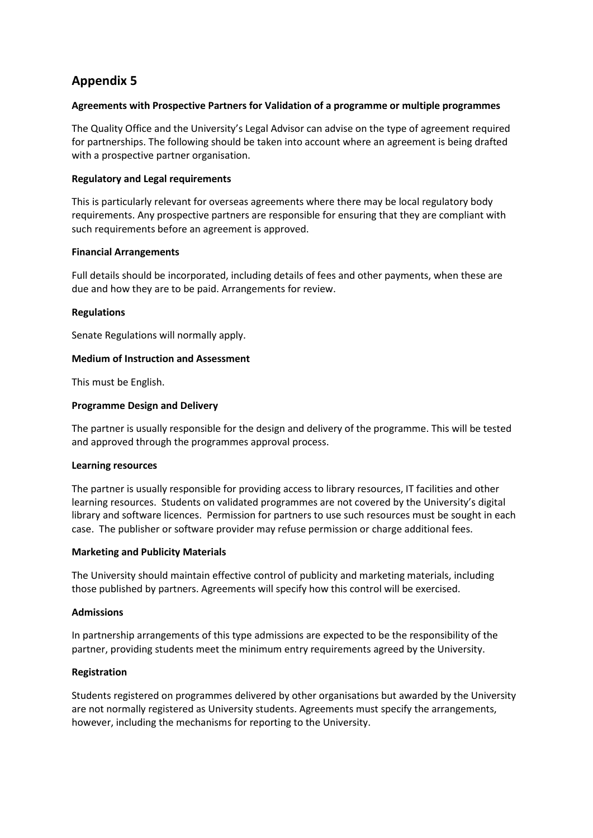#### **Agreements with Prospective Partners for Validation of a programme or multiple programmes**

The Quality Office and the University's Legal Advisor can advise on the type of agreement required for partnerships. The following should be taken into account where an agreement is being drafted with a prospective partner organisation.

#### **Regulatory and Legal requirements**

This is particularly relevant for overseas agreements where there may be local regulatory body requirements. Any prospective partners are responsible for ensuring that they are compliant with such requirements before an agreement is approved.

### **Financial Arrangements**

Full details should be incorporated, including details of fees and other payments, when these are due and how they are to be paid. Arrangements for review.

### **Regulations**

Senate Regulations will normally apply.

### **Medium of Instruction and Assessment**

This must be English.

### **Programme Design and Delivery**

The partner is usually responsible for the design and delivery of the programme. This will be tested and approved through the programmes approval process.

#### **Learning resources**

The partner is usually responsible for providing access to library resources, IT facilities and other learning resources. Students on validated programmes are not covered by the University's digital library and software licences. Permission for partners to use such resources must be sought in each case. The publisher or software provider may refuse permission or charge additional fees.

#### **Marketing and Publicity Materials**

The University should maintain effective control of publicity and marketing materials, including those published by partners. Agreements will specify how this control will be exercised.

#### **Admissions**

In partnership arrangements of this type admissions are expected to be the responsibility of the partner, providing students meet the minimum entry requirements agreed by the University.

## **Registration**

Students registered on programmes delivered by other organisations but awarded by the University are not normally registered as University students. Agreements must specify the arrangements, however, including the mechanisms for reporting to the University.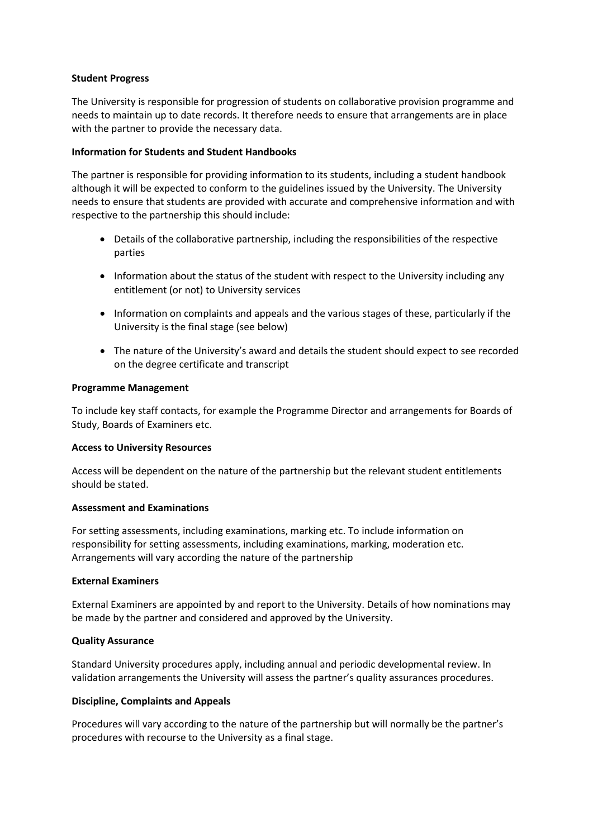#### **Student Progress**

The University is responsible for progression of students on collaborative provision programme and needs to maintain up to date records. It therefore needs to ensure that arrangements are in place with the partner to provide the necessary data.

#### **Information for Students and Student Handbooks**

The partner is responsible for providing information to its students, including a student handbook although it will be expected to conform to the guidelines issued by the University. The University needs to ensure that students are provided with accurate and comprehensive information and with respective to the partnership this should include:

- Details of the collaborative partnership, including the responsibilities of the respective parties
- Information about the status of the student with respect to the University including any entitlement (or not) to University services
- Information on complaints and appeals and the various stages of these, particularly if the University is the final stage (see below)
- The nature of the University's award and details the student should expect to see recorded on the degree certificate and transcript

#### **Programme Management**

To include key staff contacts, for example the Programme Director and arrangements for Boards of Study, Boards of Examiners etc.

#### **Access to University Resources**

Access will be dependent on the nature of the partnership but the relevant student entitlements should be stated.

#### **Assessment and Examinations**

For setting assessments, including examinations, marking etc. To include information on responsibility for setting assessments, including examinations, marking, moderation etc. Arrangements will vary according the nature of the partnership

#### **External Examiners**

External Examiners are appointed by and report to the University. Details of how nominations may be made by the partner and considered and approved by the University.

#### **Quality Assurance**

Standard University procedures apply, including annual and periodic developmental review. In validation arrangements the University will assess the partner's quality assurances procedures.

#### **Discipline, Complaints and Appeals**

Procedures will vary according to the nature of the partnership but will normally be the partner's procedures with recourse to the University as a final stage.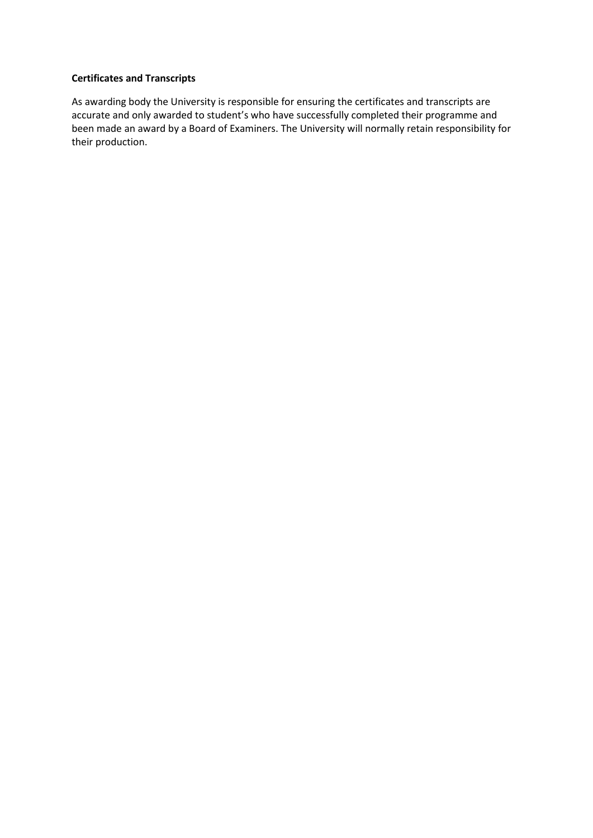#### **Certificates and Transcripts**

As awarding body the University is responsible for ensuring the certificates and transcripts are accurate and only awarded to student's who have successfully completed their programme and been made an award by a Board of Examiners. The University will normally retain responsibility for their production.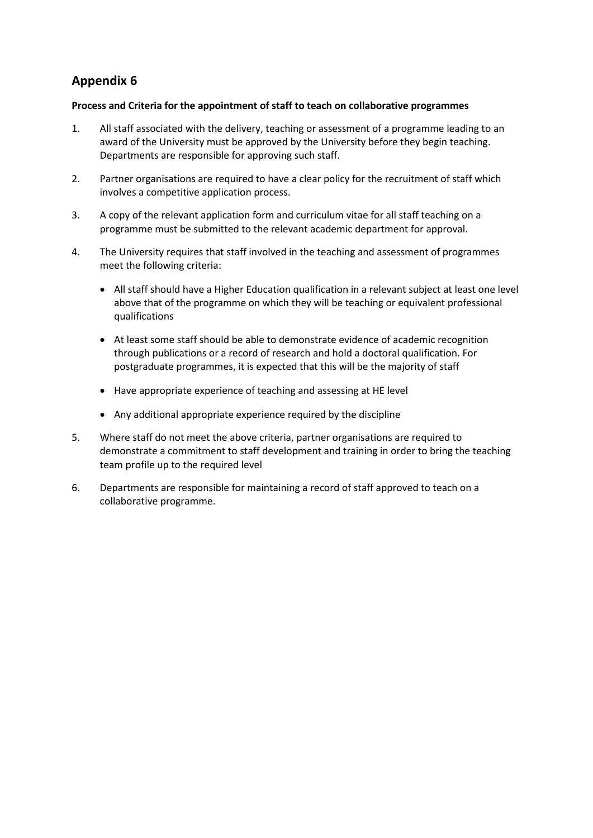### **Process and Criteria for the appointment of staff to teach on collaborative programmes**

- 1. All staff associated with the delivery, teaching or assessment of a programme leading to an award of the University must be approved by the University before they begin teaching. Departments are responsible for approving such staff.
- 2. Partner organisations are required to have a clear policy for the recruitment of staff which involves a competitive application process.
- 3. A copy of the relevant application form and curriculum vitae for all staff teaching on a programme must be submitted to the relevant academic department for approval.
- 4. The University requires that staff involved in the teaching and assessment of programmes meet the following criteria:
	- All staff should have a Higher Education qualification in a relevant subject at least one level above that of the programme on which they will be teaching or equivalent professional qualifications
	- At least some staff should be able to demonstrate evidence of academic recognition through publications or a record of research and hold a doctoral qualification. For postgraduate programmes, it is expected that this will be the majority of staff
	- Have appropriate experience of teaching and assessing at HE level
	- Any additional appropriate experience required by the discipline
- 5. Where staff do not meet the above criteria, partner organisations are required to demonstrate a commitment to staff development and training in order to bring the teaching team profile up to the required level
- 6. Departments are responsible for maintaining a record of staff approved to teach on a collaborative programme.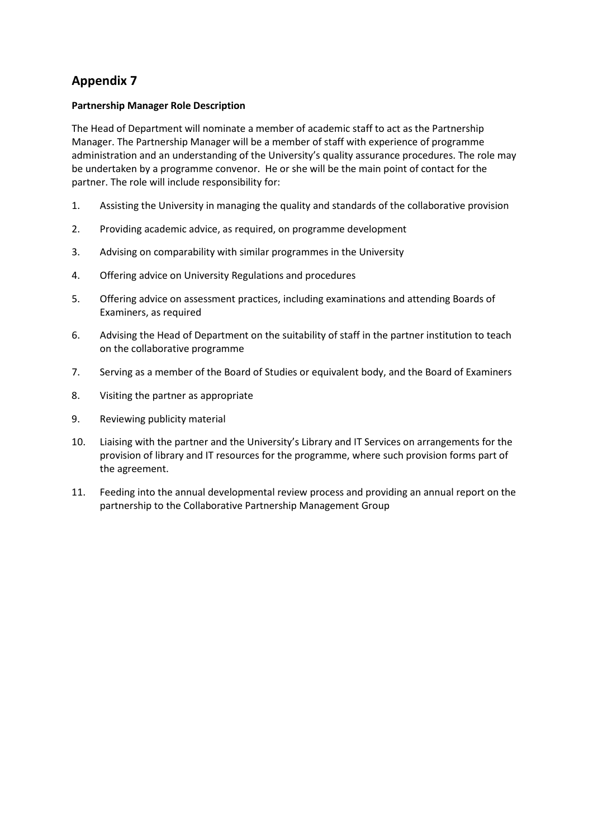### **Partnership Manager Role Description**

The Head of Department will nominate a member of academic staff to act as the Partnership Manager. The Partnership Manager will be a member of staff with experience of programme administration and an understanding of the University's quality assurance procedures. The role may be undertaken by a programme convenor. He or she will be the main point of contact for the partner. The role will include responsibility for:

- 1. Assisting the University in managing the quality and standards of the collaborative provision
- 2. Providing academic advice, as required, on programme development
- 3. Advising on comparability with similar programmes in the University
- 4. Offering advice on University Regulations and procedures
- 5. Offering advice on assessment practices, including examinations and attending Boards of Examiners, as required
- 6. Advising the Head of Department on the suitability of staff in the partner institution to teach on the collaborative programme
- 7. Serving as a member of the Board of Studies or equivalent body, and the Board of Examiners
- 8. Visiting the partner as appropriate
- 9. Reviewing publicity material
- 10. Liaising with the partner and the University's Library and IT Services on arrangements for the provision of library and IT resources for the programme, where such provision forms part of the agreement.
- 11. Feeding into the annual developmental review process and providing an annual report on the partnership to the Collaborative Partnership Management Group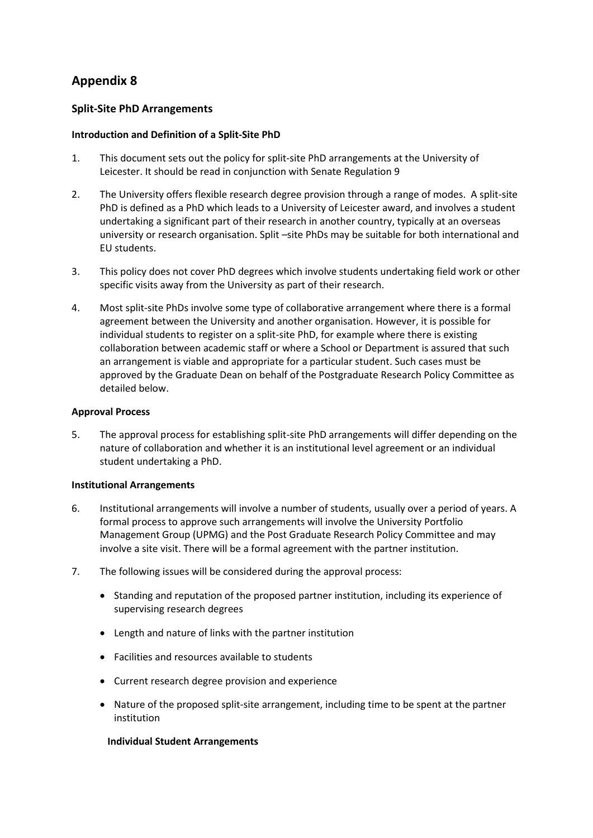## **Split-Site PhD Arrangements**

### **Introduction and Definition of a Split-Site PhD**

- 1. This document sets out the policy for split-site PhD arrangements at the University of Leicester. It should be read in conjunction with Senate Regulation 9
- 2. The University offers flexible research degree provision through a range of modes. A split-site PhD is defined as a PhD which leads to a University of Leicester award, and involves a student undertaking a significant part of their research in another country, typically at an overseas university or research organisation. Split –site PhDs may be suitable for both international and EU students.
- 3. This policy does not cover PhD degrees which involve students undertaking field work or other specific visits away from the University as part of their research.
- 4. Most split-site PhDs involve some type of collaborative arrangement where there is a formal agreement between the University and another organisation. However, it is possible for individual students to register on a split-site PhD, for example where there is existing collaboration between academic staff or where a School or Department is assured that such an arrangement is viable and appropriate for a particular student. Such cases must be approved by the Graduate Dean on behalf of the Postgraduate Research Policy Committee as detailed below.

### **Approval Process**

5. The approval process for establishing split-site PhD arrangements will differ depending on the nature of collaboration and whether it is an institutional level agreement or an individual student undertaking a PhD.

#### **Institutional Arrangements**

- 6. Institutional arrangements will involve a number of students, usually over a period of years. A formal process to approve such arrangements will involve the University Portfolio Management Group (UPMG) and the Post Graduate Research Policy Committee and may involve a site visit. There will be a formal agreement with the partner institution.
- 7. The following issues will be considered during the approval process:
	- Standing and reputation of the proposed partner institution, including its experience of supervising research degrees
	- Length and nature of links with the partner institution
	- Facilities and resources available to students
	- Current research degree provision and experience
	- Nature of the proposed split-site arrangement, including time to be spent at the partner institution

#### **Individual Student Arrangements**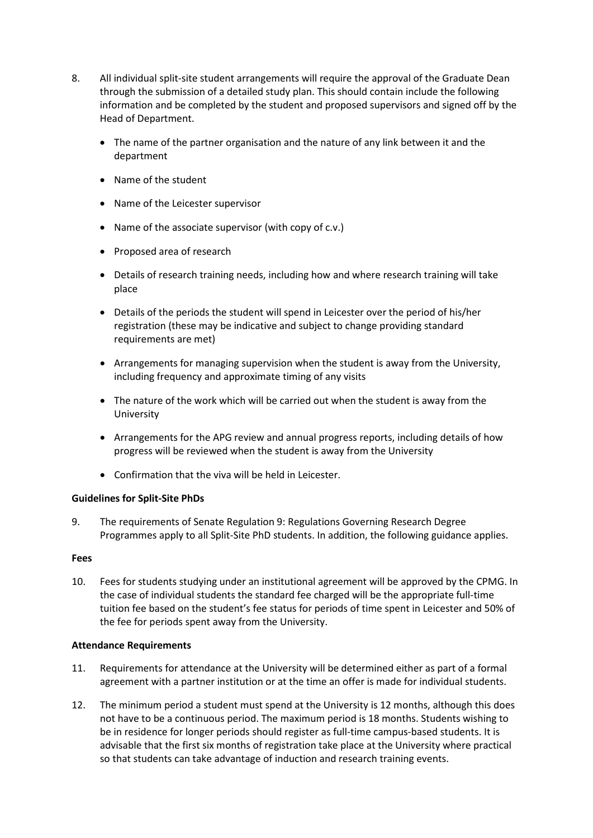- 8. All individual split-site student arrangements will require the approval of the Graduate Dean through the submission of a detailed study plan. This should contain include the following information and be completed by the student and proposed supervisors and signed off by the Head of Department.
	- The name of the partner organisation and the nature of any link between it and the department
	- Name of the student
	- Name of the Leicester supervisor
	- Name of the associate supervisor (with copy of c.v.)
	- Proposed area of research
	- Details of research training needs, including how and where research training will take place
	- Details of the periods the student will spend in Leicester over the period of his/her registration (these may be indicative and subject to change providing standard requirements are met)
	- Arrangements for managing supervision when the student is away from the University, including frequency and approximate timing of any visits
	- The nature of the work which will be carried out when the student is away from the University
	- Arrangements for the APG review and annual progress reports, including details of how progress will be reviewed when the student is away from the University
	- Confirmation that the viva will be held in Leicester.

## **Guidelines for Split-Site PhDs**

9. The requirements of Senate Regulation 9: Regulations Governing Research Degree Programmes apply to all Split-Site PhD students. In addition, the following guidance applies.

#### **Fees**

10. Fees for students studying under an institutional agreement will be approved by the CPMG. In the case of individual students the standard fee charged will be the appropriate full-time tuition fee based on the student's fee status for periods of time spent in Leicester and 50% of the fee for periods spent away from the University.

#### **Attendance Requirements**

- 11. Requirements for attendance at the University will be determined either as part of a formal agreement with a partner institution or at the time an offer is made for individual students.
- 12. The minimum period a student must spend at the University is 12 months, although this does not have to be a continuous period. The maximum period is 18 months. Students wishing to be in residence for longer periods should register as full-time campus-based students. It is advisable that the first six months of registration take place at the University where practical so that students can take advantage of induction and research training events.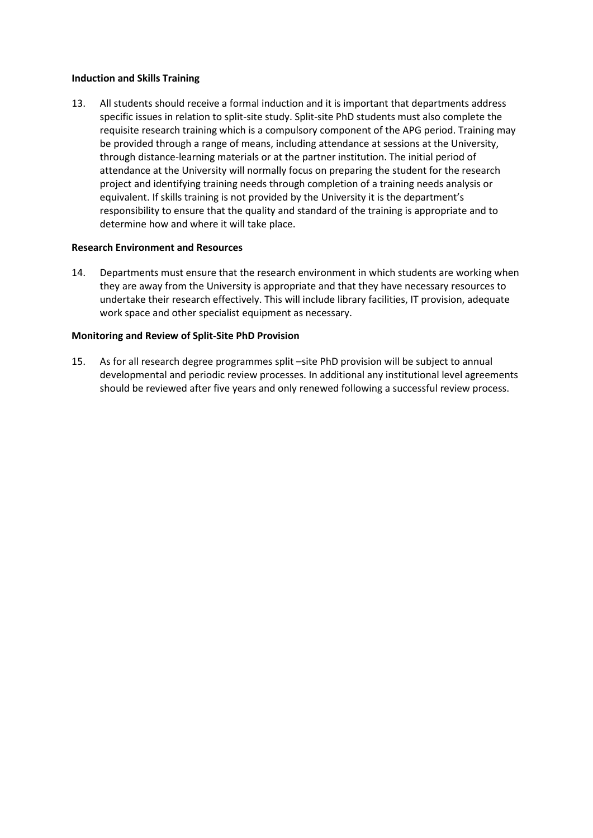#### **Induction and Skills Training**

13. All students should receive a formal induction and it is important that departments address specific issues in relation to split-site study. Split-site PhD students must also complete the requisite research training which is a compulsory component of the APG period. Training may be provided through a range of means, including attendance at sessions at the University, through distance-learning materials or at the partner institution. The initial period of attendance at the University will normally focus on preparing the student for the research project and identifying training needs through completion of a training needs analysis or equivalent. If skills training is not provided by the University it is the department's responsibility to ensure that the quality and standard of the training is appropriate and to determine how and where it will take place.

#### **Research Environment and Resources**

14. Departments must ensure that the research environment in which students are working when they are away from the University is appropriate and that they have necessary resources to undertake their research effectively. This will include library facilities, IT provision, adequate work space and other specialist equipment as necessary.

#### **Monitoring and Review of Split-Site PhD Provision**

15. As for all research degree programmes split –site PhD provision will be subject to annual developmental and periodic review processes. In additional any institutional level agreements should be reviewed after five years and only renewed following a successful review process.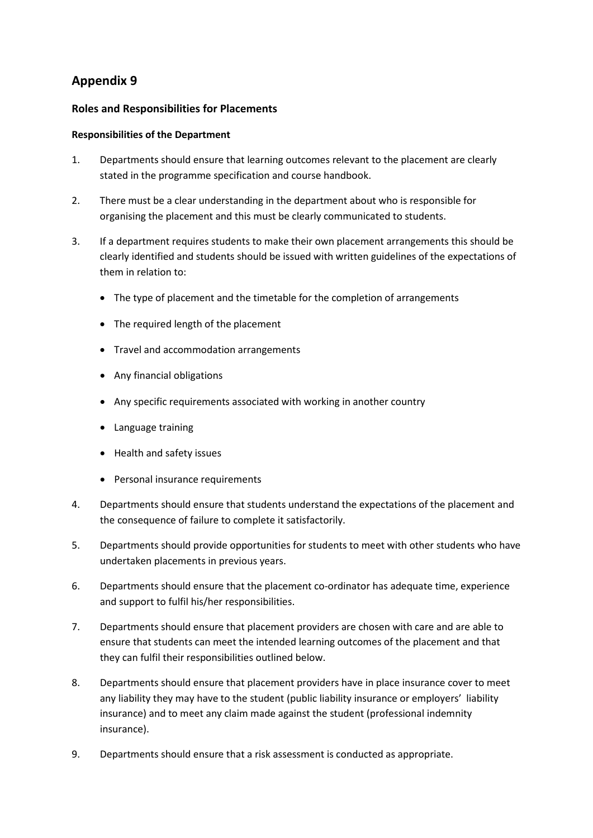## **Roles and Responsibilities for Placements**

## **Responsibilities of the Department**

- 1. Departments should ensure that learning outcomes relevant to the placement are clearly stated in the programme specification and course handbook.
- 2. There must be a clear understanding in the department about who is responsible for organising the placement and this must be clearly communicated to students.
- 3. If a department requires students to make their own placement arrangements this should be clearly identified and students should be issued with written guidelines of the expectations of them in relation to:
	- The type of placement and the timetable for the completion of arrangements
	- The required length of the placement
	- Travel and accommodation arrangements
	- Any financial obligations
	- Any specific requirements associated with working in another country
	- Language training
	- Health and safety issues
	- Personal insurance requirements
- 4. Departments should ensure that students understand the expectations of the placement and the consequence of failure to complete it satisfactorily.
- 5. Departments should provide opportunities for students to meet with other students who have undertaken placements in previous years.
- 6. Departments should ensure that the placement co-ordinator has adequate time, experience and support to fulfil his/her responsibilities.
- 7. Departments should ensure that placement providers are chosen with care and are able to ensure that students can meet the intended learning outcomes of the placement and that they can fulfil their responsibilities outlined below.
- 8. Departments should ensure that placement providers have in place insurance cover to meet any liability they may have to the student (public liability insurance or employers' liability insurance) and to meet any claim made against the student (professional indemnity insurance).
- 9. Departments should ensure that a risk assessment is conducted as appropriate.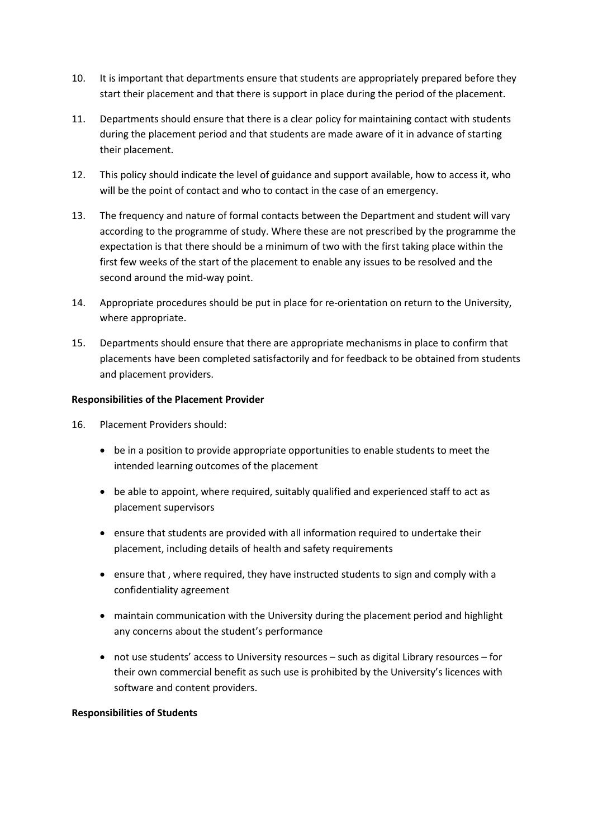- 10. It is important that departments ensure that students are appropriately prepared before they start their placement and that there is support in place during the period of the placement.
- 11. Departments should ensure that there is a clear policy for maintaining contact with students during the placement period and that students are made aware of it in advance of starting their placement.
- 12. This policy should indicate the level of guidance and support available, how to access it, who will be the point of contact and who to contact in the case of an emergency.
- 13. The frequency and nature of formal contacts between the Department and student will vary according to the programme of study. Where these are not prescribed by the programme the expectation is that there should be a minimum of two with the first taking place within the first few weeks of the start of the placement to enable any issues to be resolved and the second around the mid-way point.
- 14. Appropriate procedures should be put in place for re-orientation on return to the University, where appropriate.
- 15. Departments should ensure that there are appropriate mechanisms in place to confirm that placements have been completed satisfactorily and for feedback to be obtained from students and placement providers.

### **Responsibilities of the Placement Provider**

- 16. Placement Providers should:
	- be in a position to provide appropriate opportunities to enable students to meet the intended learning outcomes of the placement
	- be able to appoint, where required, suitably qualified and experienced staff to act as placement supervisors
	- ensure that students are provided with all information required to undertake their placement, including details of health and safety requirements
	- ensure that , where required, they have instructed students to sign and comply with a confidentiality agreement
	- maintain communication with the University during the placement period and highlight any concerns about the student's performance
	- not use students' access to University resources such as digital Library resources for their own commercial benefit as such use is prohibited by the University's licences with software and content providers.

#### **Responsibilities of Students**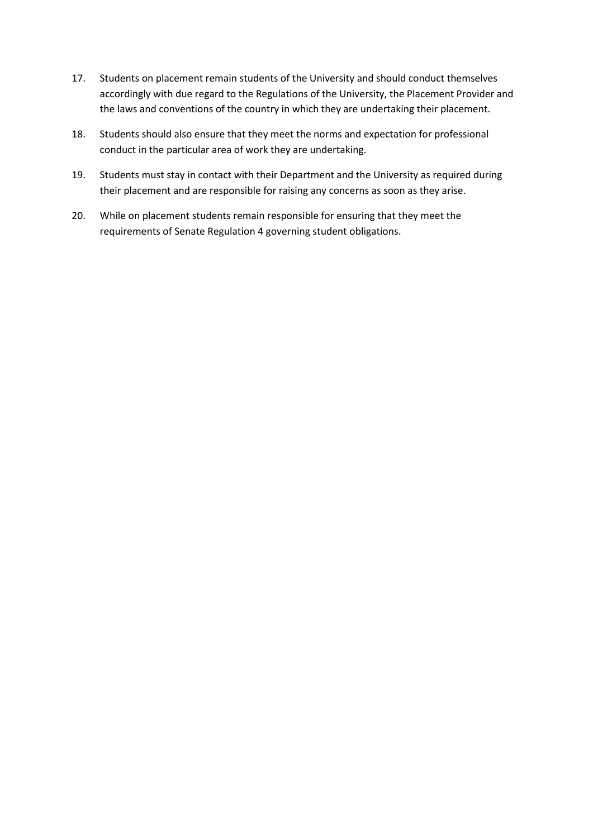- 17. Students on placement remain students of the University and should conduct themselves accordingly with due regard to the Regulations of the University, the Placement Provider and the laws and conventions of the country in which they are undertaking their placement.
- 18. Students should also ensure that they meet the norms and expectation for professional conduct in the particular area of work they are undertaking.
- 19. Students must stay in contact with their Department and the University as required during their placement and are responsible for raising any concerns as soon as they arise.
- 20. While on placement students remain responsible for ensuring that they meet the requirements of Senate Regulation 4 governing student obligations.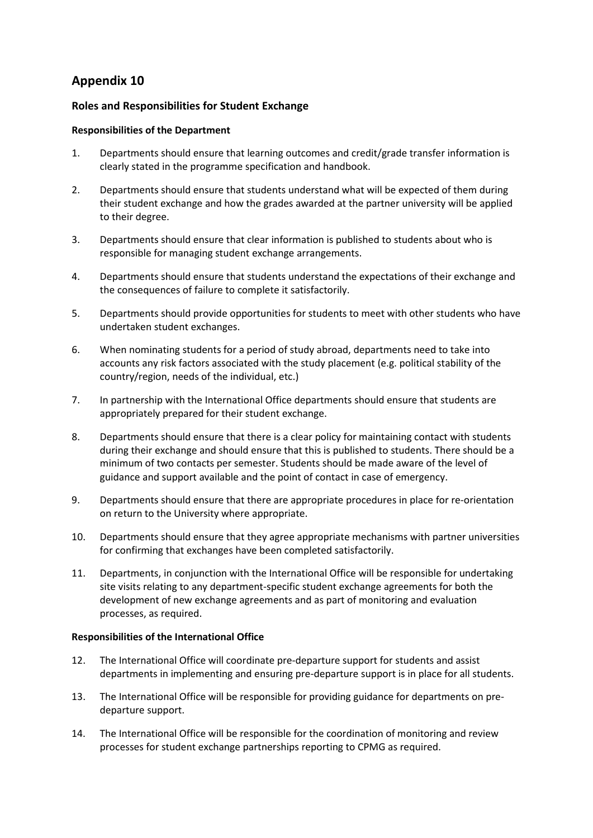## **Roles and Responsibilities for Student Exchange**

### **Responsibilities of the Department**

- 1. Departments should ensure that learning outcomes and credit/grade transfer information is clearly stated in the programme specification and handbook.
- 2. Departments should ensure that students understand what will be expected of them during their student exchange and how the grades awarded at the partner university will be applied to their degree.
- 3. Departments should ensure that clear information is published to students about who is responsible for managing student exchange arrangements.
- 4. Departments should ensure that students understand the expectations of their exchange and the consequences of failure to complete it satisfactorily.
- 5. Departments should provide opportunities for students to meet with other students who have undertaken student exchanges.
- 6. When nominating students for a period of study abroad, departments need to take into accounts any risk factors associated with the study placement (e.g. political stability of the country/region, needs of the individual, etc.)
- 7. In partnership with the International Office departments should ensure that students are appropriately prepared for their student exchange.
- 8. Departments should ensure that there is a clear policy for maintaining contact with students during their exchange and should ensure that this is published to students. There should be a minimum of two contacts per semester. Students should be made aware of the level of guidance and support available and the point of contact in case of emergency.
- 9. Departments should ensure that there are appropriate procedures in place for re-orientation on return to the University where appropriate.
- 10. Departments should ensure that they agree appropriate mechanisms with partner universities for confirming that exchanges have been completed satisfactorily.
- 11. Departments, in conjunction with the International Office will be responsible for undertaking site visits relating to any department-specific student exchange agreements for both the development of new exchange agreements and as part of monitoring and evaluation processes, as required.

## **Responsibilities of the International Office**

- 12. The International Office will coordinate pre-departure support for students and assist departments in implementing and ensuring pre-departure support is in place for all students.
- 13. The International Office will be responsible for providing guidance for departments on predeparture support.
- 14. The International Office will be responsible for the coordination of monitoring and review processes for student exchange partnerships reporting to CPMG as required.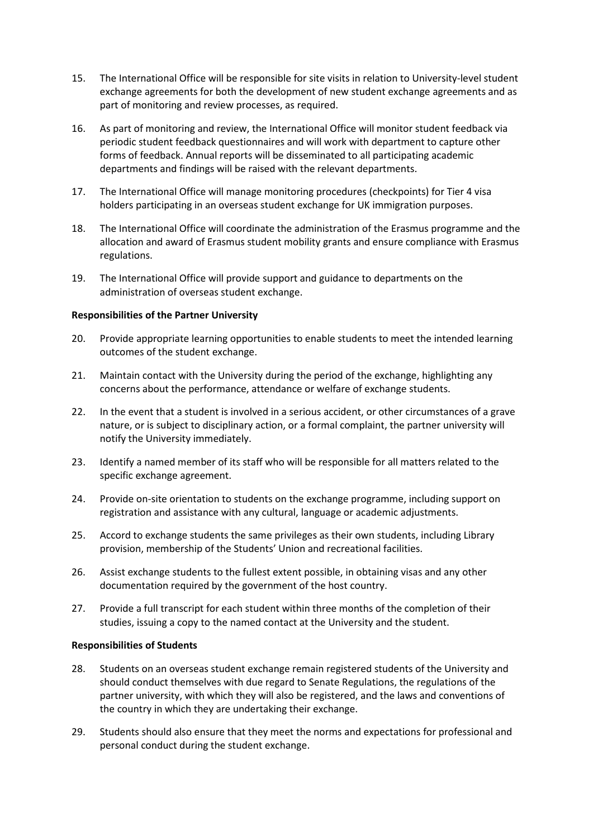- 15. The International Office will be responsible for site visits in relation to University-level student exchange agreements for both the development of new student exchange agreements and as part of monitoring and review processes, as required.
- 16. As part of monitoring and review, the International Office will monitor student feedback via periodic student feedback questionnaires and will work with department to capture other forms of feedback. Annual reports will be disseminated to all participating academic departments and findings will be raised with the relevant departments.
- 17. The International Office will manage monitoring procedures (checkpoints) for Tier 4 visa holders participating in an overseas student exchange for UK immigration purposes.
- 18. The International Office will coordinate the administration of the Erasmus programme and the allocation and award of Erasmus student mobility grants and ensure compliance with Erasmus regulations.
- 19. The International Office will provide support and guidance to departments on the administration of overseas student exchange.

#### **Responsibilities of the Partner University**

- 20. Provide appropriate learning opportunities to enable students to meet the intended learning outcomes of the student exchange.
- 21. Maintain contact with the University during the period of the exchange, highlighting any concerns about the performance, attendance or welfare of exchange students.
- 22. In the event that a student is involved in a serious accident, or other circumstances of a grave nature, or is subject to disciplinary action, or a formal complaint, the partner university will notify the University immediately.
- 23. Identify a named member of its staff who will be responsible for all matters related to the specific exchange agreement.
- 24. Provide on-site orientation to students on the exchange programme, including support on registration and assistance with any cultural, language or academic adjustments.
- 25. Accord to exchange students the same privileges as their own students, including Library provision, membership of the Students' Union and recreational facilities.
- 26. Assist exchange students to the fullest extent possible, in obtaining visas and any other documentation required by the government of the host country.
- 27. Provide a full transcript for each student within three months of the completion of their studies, issuing a copy to the named contact at the University and the student.

#### **Responsibilities of Students**

- 28. Students on an overseas student exchange remain registered students of the University and should conduct themselves with due regard to Senate Regulations, the regulations of the partner university, with which they will also be registered, and the laws and conventions of the country in which they are undertaking their exchange.
- 29. Students should also ensure that they meet the norms and expectations for professional and personal conduct during the student exchange.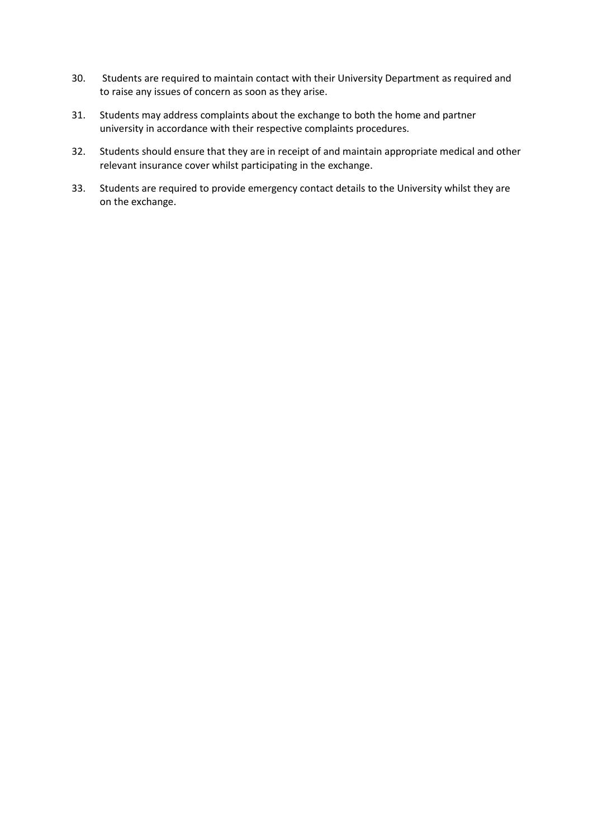- 30. Students are required to maintain contact with their University Department as required and to raise any issues of concern as soon as they arise.
- 31. Students may address complaints about the exchange to both the home and partner university in accordance with their respective complaints procedures.
- 32. Students should ensure that they are in receipt of and maintain appropriate medical and other relevant insurance cover whilst participating in the exchange.
- 33. Students are required to provide emergency contact details to the University whilst they are on the exchange.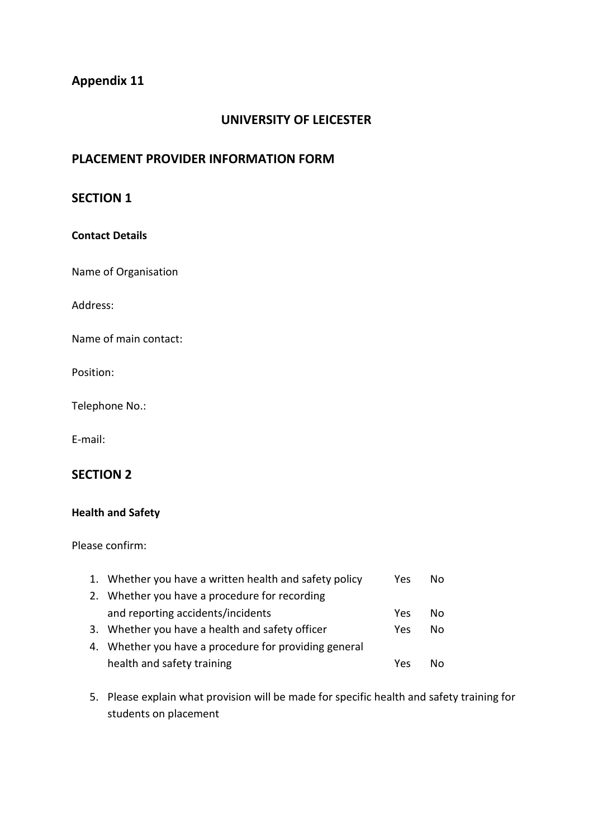## **UNIVERSITY OF LEICESTER**

## **PLACEMENT PROVIDER INFORMATION FORM**

## **SECTION 1**

## **Contact Details**

Name of Organisation

Address:

Name of main contact:

Position:

Telephone No.:

E-mail:

## **SECTION 2**

## **Health and Safety**

Please confirm:

| 1. Whether you have a written health and safety policy | Yes | Nο |
|--------------------------------------------------------|-----|----|
| 2. Whether you have a procedure for recording          |     |    |
| and reporting accidents/incidents                      | Yes | Nο |
| 3. Whether you have a health and safety officer        | Yes | Nο |
| 4. Whether you have a procedure for providing general  |     |    |
| health and safety training                             | Yes | N٥ |

5. Please explain what provision will be made for specific health and safety training for students on placement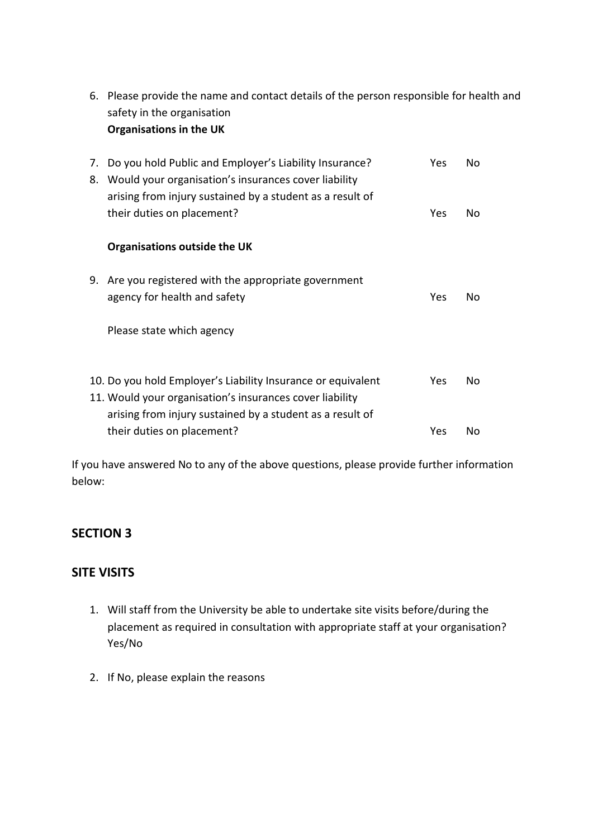|          | safety in the organisation                                                                                                                                                            |     |    |
|----------|---------------------------------------------------------------------------------------------------------------------------------------------------------------------------------------|-----|----|
|          | <b>Organisations in the UK</b>                                                                                                                                                        |     |    |
| 7.<br>8. | Do you hold Public and Employer's Liability Insurance?<br>Would your organisation's insurances cover liability<br>arising from injury sustained by a student as a result of           | Yes | Nο |
|          | their duties on placement?                                                                                                                                                            | Yes | No |
|          | <b>Organisations outside the UK</b>                                                                                                                                                   |     |    |
| 9.       | Are you registered with the appropriate government<br>agency for health and safety                                                                                                    | Yes | Nο |
|          | Please state which agency                                                                                                                                                             |     |    |
|          | 10. Do you hold Employer's Liability Insurance or equivalent<br>11. Would your organisation's insurances cover liability<br>arising from injury sustained by a student as a result of | Yes | Nο |
|          | their duties on placement?                                                                                                                                                            | Yes | No |

6. Please provide the name and contact details of the person responsible for health and

If you have answered No to any of the above questions, please provide further information below:

# **SECTION 3**

# **SITE VISITS**

- 1. Will staff from the University be able to undertake site visits before/during the placement as required in consultation with appropriate staff at your organisation? Yes/No
- 2. If No, please explain the reasons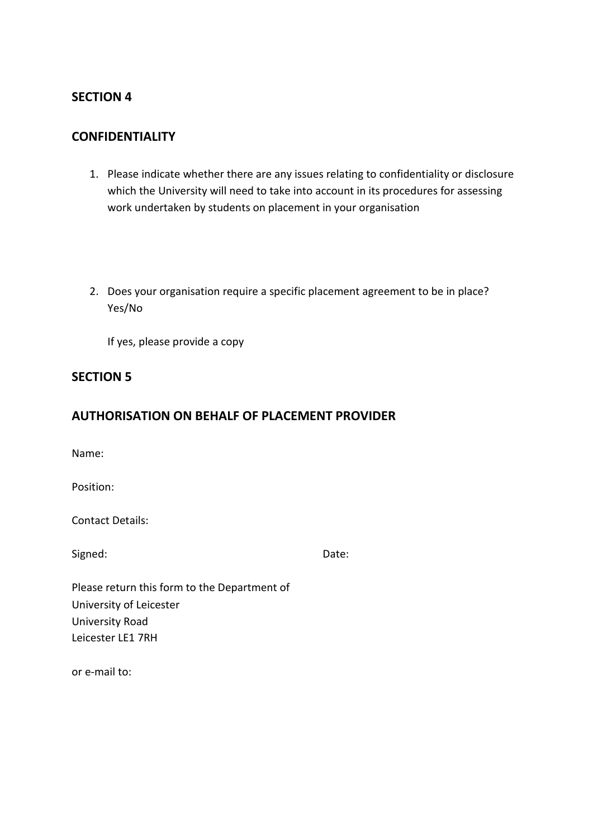## **SECTION 4**

## **CONFIDENTIALITY**

- 1. Please indicate whether there are any issues relating to confidentiality or disclosure which the University will need to take into account in its procedures for assessing work undertaken by students on placement in your organisation
- 2. Does your organisation require a specific placement agreement to be in place? Yes/No

If yes, please provide a copy

## **SECTION 5**

## **AUTHORISATION ON BEHALF OF PLACEMENT PROVIDER**

Name:

Position:

Contact Details:

Signed: Date:

Please return this form to the Department of University of Leicester University Road Leicester LE1 7RH

or e-mail to: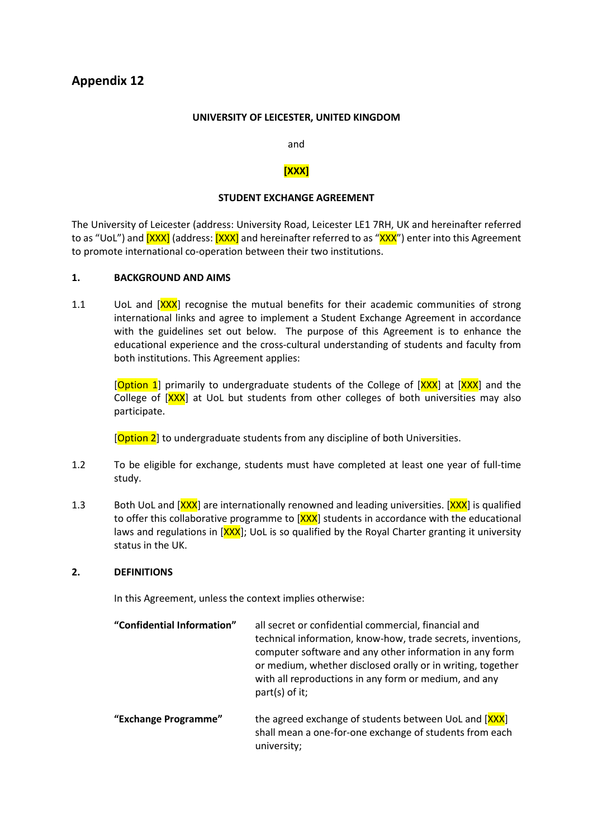#### **UNIVERSITY OF LEICESTER, UNITED KINGDOM**

and

### **[XXX]**

#### **STUDENT EXCHANGE AGREEMENT**

The University of Leicester (address: University Road, Leicester LE1 7RH, UK and hereinafter referred to as "UoL") and **[XXX]** (address: **[XXX]** and hereinafter referred to as "XXX") enter into this Agreement to promote international co-operation between their two institutions.

### **1. BACKGROUND AND AIMS**

1.1 UoL and [XXX] recognise the mutual benefits for their academic communities of strong international links and agree to implement a Student Exchange Agreement in accordance with the guidelines set out below. The purpose of this Agreement is to enhance the educational experience and the cross-cultural understanding of students and faculty from both institutions. This Agreement applies:

[Option 1] primarily to undergraduate students of the College of [XXX] at [XXX] and the College of  $[XXX]$  at UoL but students from other colleges of both universities may also participate.

[Option 2] to undergraduate students from any discipline of both Universities.

- 1.2 To be eligible for exchange, students must have completed at least one year of full-time study.
- 1.3 Both UoL and [XXX] are internationally renowned and leading universities. [XXX] is qualified to offer this collaborative programme to  $[XXX]$  students in accordance with the educational laws and regulations in  $[XXX]$ ; UoL is so qualified by the Royal Charter granting it university status in the UK.

#### **2. DEFINITIONS**

In this Agreement, unless the context implies otherwise:

| "Confidential Information" | all secret or confidential commercial, financial and<br>technical information, know-how, trade secrets, inventions,<br>computer software and any other information in any form<br>or medium, whether disclosed orally or in writing, together<br>with all reproductions in any form or medium, and any<br>part(s) of it; |
|----------------------------|--------------------------------------------------------------------------------------------------------------------------------------------------------------------------------------------------------------------------------------------------------------------------------------------------------------------------|
| "Exchange Programme"       | the agreed exchange of students between UoL and [XXX]<br>shall mean a one-for-one exchange of students from each<br>university;                                                                                                                                                                                          |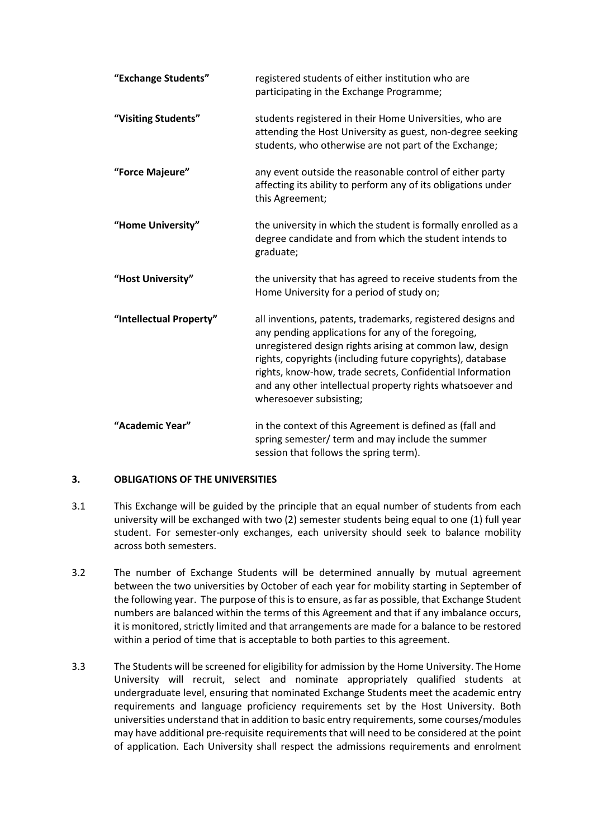| "Exchange Students"     | registered students of either institution who are<br>participating in the Exchange Programme;                                                                                                                                                                                                                                                                                                    |
|-------------------------|--------------------------------------------------------------------------------------------------------------------------------------------------------------------------------------------------------------------------------------------------------------------------------------------------------------------------------------------------------------------------------------------------|
| "Visiting Students"     | students registered in their Home Universities, who are<br>attending the Host University as guest, non-degree seeking<br>students, who otherwise are not part of the Exchange;                                                                                                                                                                                                                   |
| "Force Majeure"         | any event outside the reasonable control of either party<br>affecting its ability to perform any of its obligations under<br>this Agreement;                                                                                                                                                                                                                                                     |
| "Home University"       | the university in which the student is formally enrolled as a<br>degree candidate and from which the student intends to<br>graduate;                                                                                                                                                                                                                                                             |
| "Host University"       | the university that has agreed to receive students from the<br>Home University for a period of study on;                                                                                                                                                                                                                                                                                         |
| "Intellectual Property" | all inventions, patents, trademarks, registered designs and<br>any pending applications for any of the foregoing,<br>unregistered design rights arising at common law, design<br>rights, copyrights (including future copyrights), database<br>rights, know-how, trade secrets, Confidential Information<br>and any other intellectual property rights whatsoever and<br>wheresoever subsisting; |
| "Academic Year"         | in the context of this Agreement is defined as (fall and<br>spring semester/ term and may include the summer<br>session that follows the spring term).                                                                                                                                                                                                                                           |

## **3. OBLIGATIONS OF THE UNIVERSITIES**

- 3.1 This Exchange will be guided by the principle that an equal number of students from each university will be exchanged with two (2) semester students being equal to one (1) full year student. For semester-only exchanges, each university should seek to balance mobility across both semesters.
- 3.2 The number of Exchange Students will be determined annually by mutual agreement between the two universities by October of each year for mobility starting in September of the following year. The purpose of this is to ensure, as far as possible, that Exchange Student numbers are balanced within the terms of this Agreement and that if any imbalance occurs, it is monitored, strictly limited and that arrangements are made for a balance to be restored within a period of time that is acceptable to both parties to this agreement.
- 3.3 The Students will be screened for eligibility for admission by the Home University. The Home University will recruit, select and nominate appropriately qualified students at undergraduate level, ensuring that nominated Exchange Students meet the academic entry requirements and language proficiency requirements set by the Host University. Both universities understand that in addition to basic entry requirements, some courses/modules may have additional pre-requisite requirements that will need to be considered at the point of application. Each University shall respect the admissions requirements and enrolment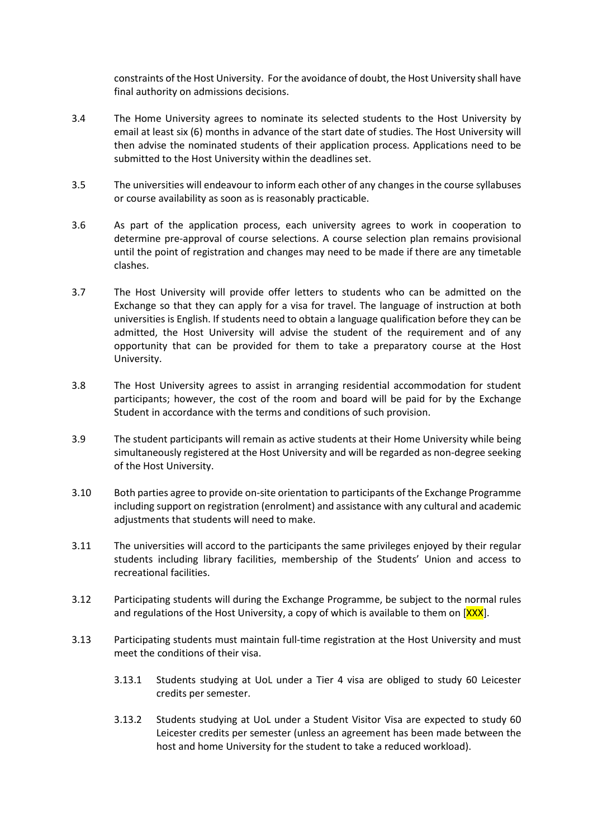constraints of the Host University. For the avoidance of doubt, the Host University shall have final authority on admissions decisions.

- 3.4 The Home University agrees to nominate its selected students to the Host University by email at least six (6) months in advance of the start date of studies. The Host University will then advise the nominated students of their application process. Applications need to be submitted to the Host University within the deadlines set.
- 3.5 The universities will endeavour to inform each other of any changes in the course syllabuses or course availability as soon as is reasonably practicable.
- 3.6 As part of the application process, each university agrees to work in cooperation to determine pre-approval of course selections. A course selection plan remains provisional until the point of registration and changes may need to be made if there are any timetable clashes.
- 3.7 The Host University will provide offer letters to students who can be admitted on the Exchange so that they can apply for a visa for travel. The language of instruction at both universities is English. If students need to obtain a language qualification before they can be admitted, the Host University will advise the student of the requirement and of any opportunity that can be provided for them to take a preparatory course at the Host University.
- 3.8 The Host University agrees to assist in arranging residential accommodation for student participants; however, the cost of the room and board will be paid for by the Exchange Student in accordance with the terms and conditions of such provision.
- 3.9 The student participants will remain as active students at their Home University while being simultaneously registered at the Host University and will be regarded as non-degree seeking of the Host University.
- 3.10 Both parties agree to provide on-site orientation to participants of the Exchange Programme including support on registration (enrolment) and assistance with any cultural and academic adjustments that students will need to make.
- 3.11 The universities will accord to the participants the same privileges enjoyed by their regular students including library facilities, membership of the Students' Union and access to recreational facilities.
- 3.12 Participating students will during the Exchange Programme, be subject to the normal rules and regulations of the Host University, a copy of which is available to them on  $[XXX]$ .
- 3.13 Participating students must maintain full-time registration at the Host University and must meet the conditions of their visa.
	- 3.13.1 Students studying at UoL under a Tier 4 visa are obliged to study 60 Leicester credits per semester.
	- 3.13.2 Students studying at UoL under a Student Visitor Visa are expected to study 60 Leicester credits per semester (unless an agreement has been made between the host and home University for the student to take a reduced workload).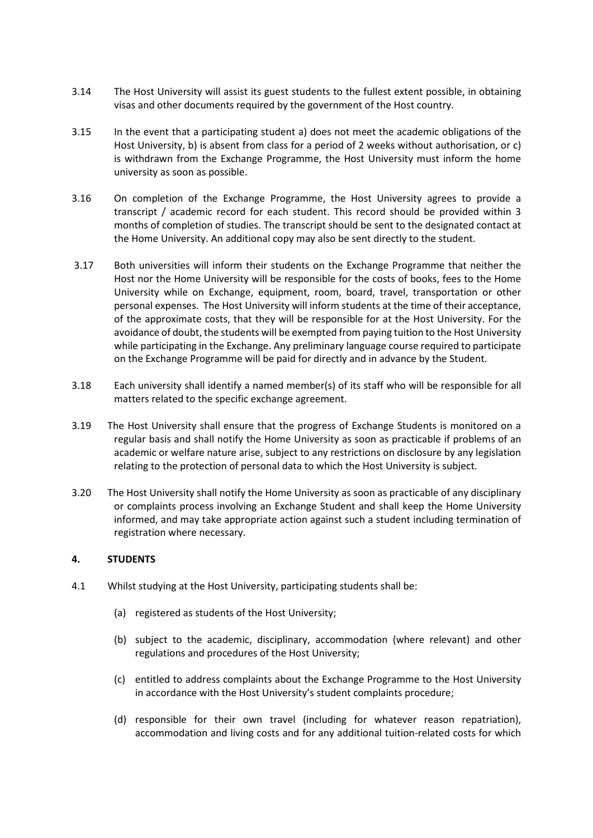- 3.14 The Host University will assist its guest students to the fullest extent possible, in obtaining visas and other documents required by the government of the Host country.
- 3.15 In the event that a participating student a) does not meet the academic obligations of the Host University, b) is absent from class for a period of 2 weeks without authorisation, or c) is withdrawn from the Exchange Programme, the Host University must inform the home university as soon as possible.
- 3.16 On completion of the Exchange Programme, the Host University agrees to provide a transcript / academic record for each student. This record should be provided within 3 months of completion of studies. The transcript should be sent to the designated contact at the Home University. An additional copy may also be sent directly to the student.
- 3.17 Both universities will inform their students on the Exchange Programme that neither the Host nor the Home University will be responsible for the costs of books, fees to the Home University while on Exchange, equipment, room, board, travel, transportation or other personal expenses. The Host University will inform students at the time of their acceptance, of the approximate costs, that they will be responsible for at the Host University. For the avoidance of doubt, the students will be exempted from paying tuition to the Host University while participating in the Exchange. Any preliminary language course required to participate on the Exchange Programme will be paid for directly and in advance by the Student.
- 3.18 Each university shall identify a named member(s) of its staff who will be responsible for all matters related to the specific exchange agreement.
- 3.19 The Host University shall ensure that the progress of Exchange Students is monitored on a regular basis and shall notify the Home University as soon as practicable if problems of an academic or welfare nature arise, subject to any restrictions on disclosure by any legislation relating to the protection of personal data to which the Host University is subject.
- 3.20 The Host University shall notify the Home University as soon as practicable of any disciplinary or complaints process involving an Exchange Student and shall keep the Home University informed, and may take appropriate action against such a student including termination of registration where necessary.

#### **4. STUDENTS**

- 4.1 Whilst studying at the Host University, participating students shall be:
	- (a) registered as students of the Host University;
	- (b) subject to the academic, disciplinary, accommodation (where relevant) and other regulations and procedures of the Host University;
	- (c) entitled to address complaints about the Exchange Programme to the Host University in accordance with the Host University's student complaints procedure;
	- (d) responsible for their own travel (including for whatever reason repatriation), accommodation and living costs and for any additional tuition-related costs for which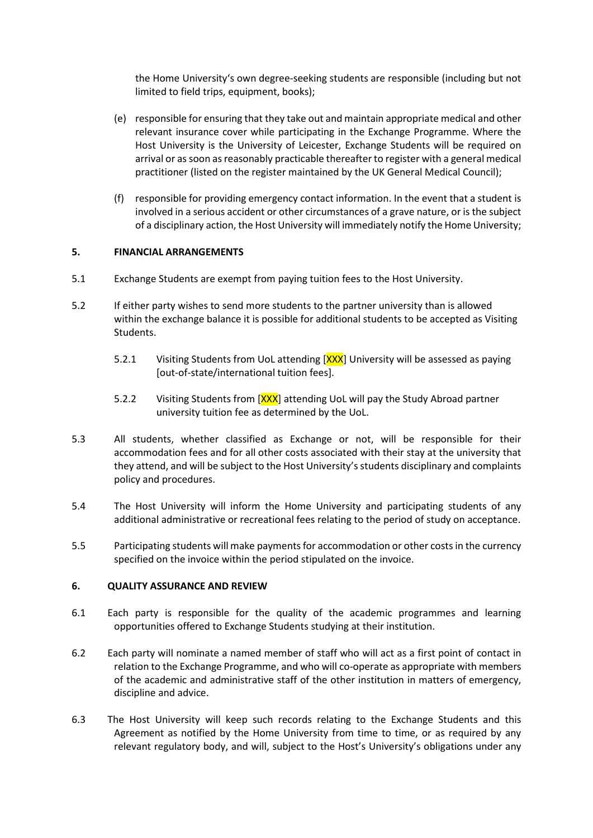the Home University's own degree-seeking students are responsible (including but not limited to field trips, equipment, books);

- (e) responsible for ensuring that they take out and maintain appropriate medical and other relevant insurance cover while participating in the Exchange Programme. Where the Host University is the University of Leicester, Exchange Students will be required on arrival or as soon as reasonably practicable thereafter to register with a general medical practitioner (listed on the register maintained by the UK General Medical Council);
- (f) responsible for providing emergency contact information. In the event that a student is involved in a serious accident or other circumstances of a grave nature, or is the subject of a disciplinary action, the Host University will immediately notify the Home University;

### **5. FINANCIAL ARRANGEMENTS**

- 5.1 Exchange Students are exempt from paying tuition fees to the Host University.
- 5.2 If either party wishes to send more students to the partner university than is allowed within the exchange balance it is possible for additional students to be accepted as Visiting Students.
	- 5.2.1 Visiting Students from UoL attending [XXX] University will be assessed as paying [out-of-state/international tuition fees].
	- 5.2.2 Visiting Students from  $[XXX]$  attending UoL will pay the Study Abroad partner university tuition fee as determined by the UoL.
- 5.3 All students, whether classified as Exchange or not, will be responsible for their accommodation fees and for all other costs associated with their stay at the university that they attend, and will be subject to the Host University's students disciplinary and complaints policy and procedures.
- 5.4 The Host University will inform the Home University and participating students of any additional administrative or recreational fees relating to the period of study on acceptance.
- 5.5 Participating students will make payments for accommodation or other costsin the currency specified on the invoice within the period stipulated on the invoice.

#### **6. QUALITY ASSURANCE AND REVIEW**

- 6.1 Each party is responsible for the quality of the academic programmes and learning opportunities offered to Exchange Students studying at their institution.
- 6.2 Each party will nominate a named member of staff who will act as a first point of contact in relation to the Exchange Programme, and who will co-operate as appropriate with members of the academic and administrative staff of the other institution in matters of emergency, discipline and advice.
- 6.3 The Host University will keep such records relating to the Exchange Students and this Agreement as notified by the Home University from time to time, or as required by any relevant regulatory body, and will, subject to the Host's University's obligations under any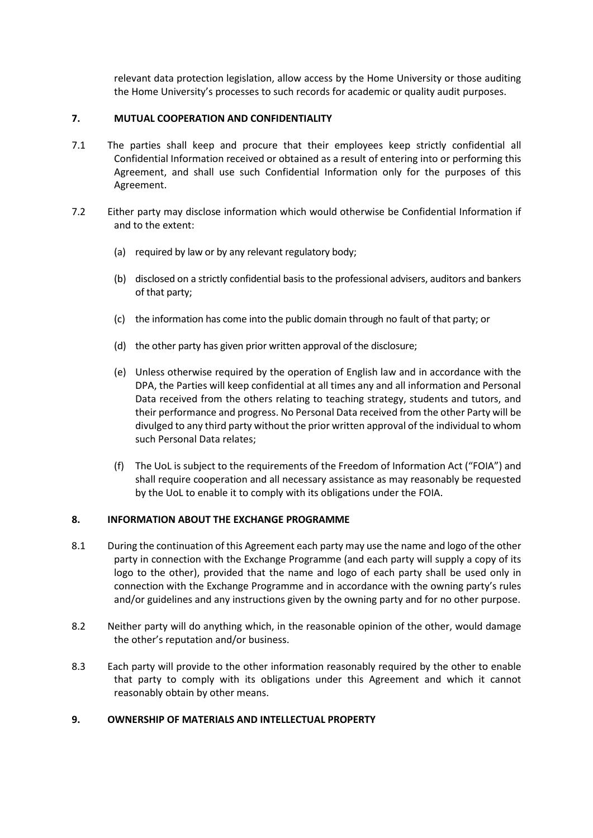relevant data protection legislation, allow access by the Home University or those auditing the Home University's processes to such records for academic or quality audit purposes.

### **7. MUTUAL COOPERATION AND CONFIDENTIALITY**

- 7.1 The parties shall keep and procure that their employees keep strictly confidential all Confidential Information received or obtained as a result of entering into or performing this Agreement, and shall use such Confidential Information only for the purposes of this Agreement.
- 7.2 Either party may disclose information which would otherwise be Confidential Information if and to the extent:
	- (a) required by law or by any relevant regulatory body;
	- (b) disclosed on a strictly confidential basis to the professional advisers, auditors and bankers of that party;
	- (c) the information has come into the public domain through no fault of that party; or
	- (d) the other party has given prior written approval of the disclosure;
	- (e) Unless otherwise required by the operation of English law and in accordance with the DPA, the Parties will keep confidential at all times any and all information and Personal Data received from the others relating to teaching strategy, students and tutors, and their performance and progress. No Personal Data received from the other Party will be divulged to any third party without the prior written approval of the individual to whom such Personal Data relates;
	- (f) The UoL is subject to the requirements of the Freedom of Information Act ("FOIA") and shall require cooperation and all necessary assistance as may reasonably be requested by the UoL to enable it to comply with its obligations under the FOIA.

#### **8. INFORMATION ABOUT THE EXCHANGE PROGRAMME**

- 8.1 During the continuation of this Agreement each party may use the name and logo of the other party in connection with the Exchange Programme (and each party will supply a copy of its logo to the other), provided that the name and logo of each party shall be used only in connection with the Exchange Programme and in accordance with the owning party's rules and/or guidelines and any instructions given by the owning party and for no other purpose.
- 8.2 Neither party will do anything which, in the reasonable opinion of the other, would damage the other's reputation and/or business.
- 8.3 Each party will provide to the other information reasonably required by the other to enable that party to comply with its obligations under this Agreement and which it cannot reasonably obtain by other means.

#### **9. OWNERSHIP OF MATERIALS AND INTELLECTUAL PROPERTY**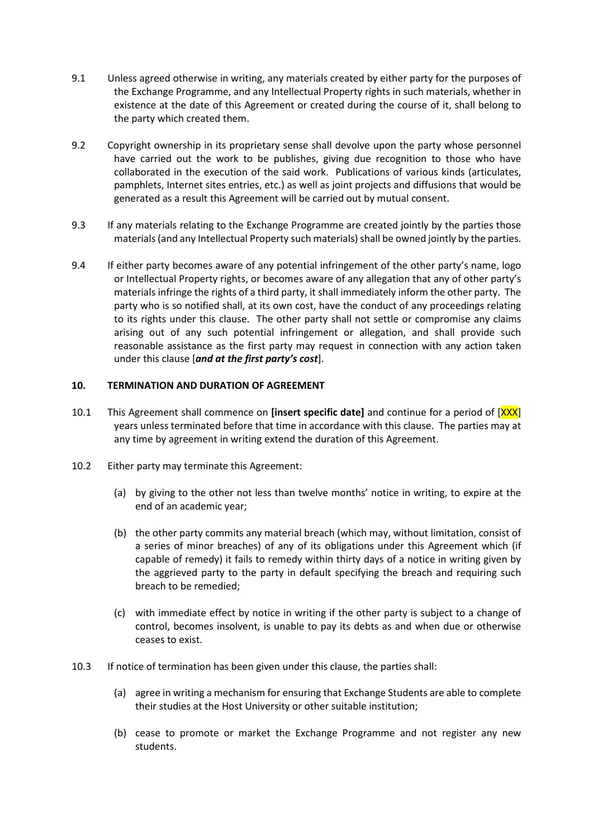- 9.1 Unless agreed otherwise in writing, any materials created by either party for the purposes of the Exchange Programme, and any Intellectual Property rights in such materials, whether in existence at the date of this Agreement or created during the course of it, shall belong to the party which created them.
- 9.2 Copyright ownership in its proprietary sense shall devolve upon the party whose personnel have carried out the work to be publishes, giving due recognition to those who have collaborated in the execution of the said work. Publications of various kinds (articulates, pamphlets, Internet sites entries, etc.) as well as joint projects and diffusions that would be generated as a result this Agreement will be carried out by mutual consent.
- 9.3 If any materials relating to the Exchange Programme are created jointly by the parties those materials (and any Intellectual Property such materials) shall be owned jointly by the parties.
- 9.4 If either party becomes aware of any potential infringement of the other party's name, logo or Intellectual Property rights, or becomes aware of any allegation that any of other party's materials infringe the rights of a third party, it shall immediately inform the other party. The party who is so notified shall, at its own cost, have the conduct of any proceedings relating to its rights under this clause. The other party shall not settle or compromise any claims arising out of any such potential infringement or allegation, and shall provide such reasonable assistance as the first party may request in connection with any action taken under this clause [*and at the first party's cost*].

#### **10. TERMINATION AND DURATION OF AGREEMENT**

- 10.1 This Agreement shall commence on **[insert specific date]** and continue for a period of [XXX] years unless terminated before that time in accordance with this clause. The parties may at any time by agreement in writing extend the duration of this Agreement.
- 10.2 Either party may terminate this Agreement:
	- (a) by giving to the other not less than twelve months' notice in writing, to expire at the end of an academic year;
	- (b) the other party commits any material breach (which may, without limitation, consist of a series of minor breaches) of any of its obligations under this Agreement which (if capable of remedy) it fails to remedy within thirty days of a notice in writing given by the aggrieved party to the party in default specifying the breach and requiring such breach to be remedied;
	- (c) with immediate effect by notice in writing if the other party is subject to a change of control, becomes insolvent, is unable to pay its debts as and when due or otherwise ceases to exist.
- 10.3 If notice of termination has been given under this clause, the parties shall:
	- (a) agree in writing a mechanism for ensuring that Exchange Students are able to complete their studies at the Host University or other suitable institution;
	- (b) cease to promote or market the Exchange Programme and not register any new students.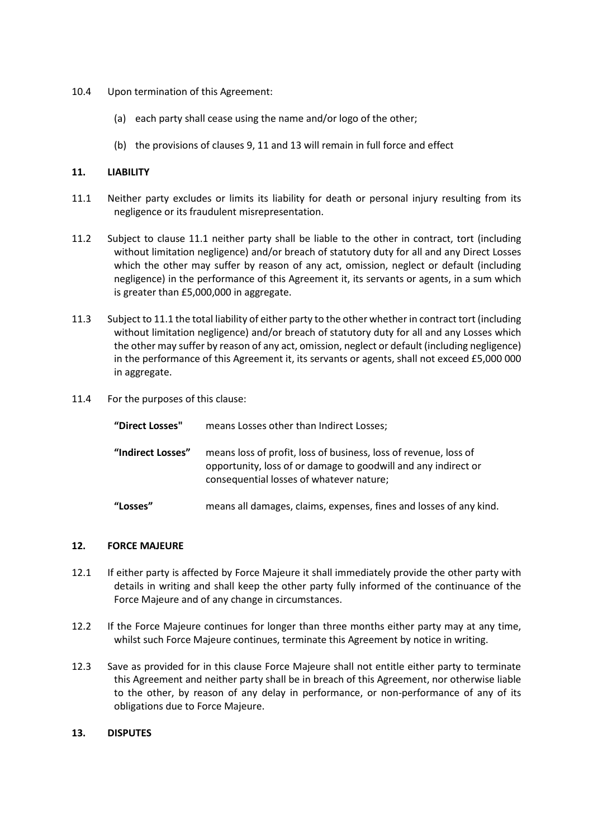- 10.4 Upon termination of this Agreement:
	- (a) each party shall cease using the name and/or logo of the other;
	- (b) the provisions of clauses 9, 11 and 13 will remain in full force and effect

#### **11. LIABILITY**

- 11.1 Neither party excludes or limits its liability for death or personal injury resulting from its negligence or its fraudulent misrepresentation.
- 11.2 Subject to clause 11.1 neither party shall be liable to the other in contract, tort (including without limitation negligence) and/or breach of statutory duty for all and any Direct Losses which the other may suffer by reason of any act, omission, neglect or default (including negligence) in the performance of this Agreement it, its servants or agents, in a sum which is greater than £5,000,000 in aggregate.
- 11.3 Subject to 11.1 the total liability of either party to the other whether in contract tort (including without limitation negligence) and/or breach of statutory duty for all and any Losses which the other may suffer by reason of any act, omission, neglect or default (including negligence) in the performance of this Agreement it, its servants or agents, shall not exceed £5,000 000 in aggregate.
- 11.4 For the purposes of this clause:

| "Direct Losses"   | means Losses other than Indirect Losses;                                                                                                                                       |
|-------------------|--------------------------------------------------------------------------------------------------------------------------------------------------------------------------------|
| "Indirect Losses" | means loss of profit, loss of business, loss of revenue, loss of<br>opportunity, loss of or damage to goodwill and any indirect or<br>consequential losses of whatever nature; |
| "Losses"          | means all damages, claims, expenses, fines and losses of any kind.                                                                                                             |

#### **12. FORCE MAJEURE**

- 12.1 If either party is affected by Force Majeure it shall immediately provide the other party with details in writing and shall keep the other party fully informed of the continuance of the Force Majeure and of any change in circumstances.
- 12.2 If the Force Majeure continues for longer than three months either party may at any time, whilst such Force Majeure continues, terminate this Agreement by notice in writing.
- 12.3 Save as provided for in this clause Force Majeure shall not entitle either party to terminate this Agreement and neither party shall be in breach of this Agreement, nor otherwise liable to the other, by reason of any delay in performance, or non-performance of any of its obligations due to Force Majeure.

#### **13. DISPUTES**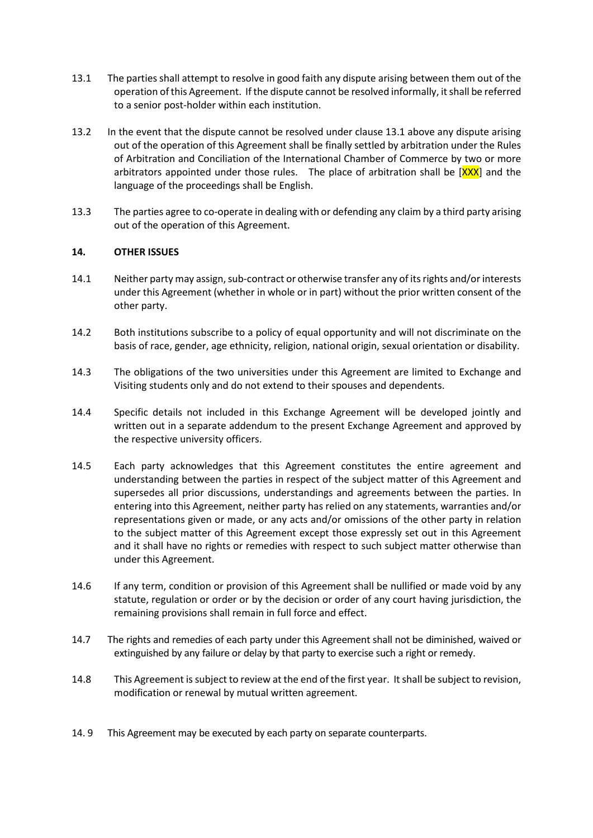- 13.1 The parties shall attempt to resolve in good faith any dispute arising between them out of the operation of this Agreement. If the dispute cannot be resolved informally, it shall be referred to a senior post-holder within each institution.
- 13.2 In the event that the dispute cannot be resolved under clause 13.1 above any dispute arising out of the operation of this Agreement shall be finally settled by arbitration under the Rules of Arbitration and Conciliation of the International Chamber of Commerce by two or more arbitrators appointed under those rules. The place of arbitration shall be  $[XX]$  and the language of the proceedings shall be English.
- 13.3 The parties agree to co-operate in dealing with or defending any claim by a third party arising out of the operation of this Agreement.

### **14. OTHER ISSUES**

- 14.1 Neither party may assign, sub-contract or otherwise transfer any of its rights and/orinterests under this Agreement (whether in whole or in part) without the prior written consent of the other party.
- 14.2 Both institutions subscribe to a policy of equal opportunity and will not discriminate on the basis of race, gender, age ethnicity, religion, national origin, sexual orientation or disability.
- 14.3 The obligations of the two universities under this Agreement are limited to Exchange and Visiting students only and do not extend to their spouses and dependents.
- 14.4 Specific details not included in this Exchange Agreement will be developed jointly and written out in a separate addendum to the present Exchange Agreement and approved by the respective university officers.
- 14.5 Each party acknowledges that this Agreement constitutes the entire agreement and understanding between the parties in respect of the subject matter of this Agreement and supersedes all prior discussions, understandings and agreements between the parties. In entering into this Agreement, neither party has relied on any statements, warranties and/or representations given or made, or any acts and/or omissions of the other party in relation to the subject matter of this Agreement except those expressly set out in this Agreement and it shall have no rights or remedies with respect to such subject matter otherwise than under this Agreement.
- 14.6 If any term, condition or provision of this Agreement shall be nullified or made void by any statute, regulation or order or by the decision or order of any court having jurisdiction, the remaining provisions shall remain in full force and effect.
- 14.7 The rights and remedies of each party under this Agreement shall not be diminished, waived or extinguished by any failure or delay by that party to exercise such a right or remedy.
- 14.8 This Agreement is subject to review at the end of the first year. It shall be subject to revision, modification or renewal by mutual written agreement.
- 14. 9 This Agreement may be executed by each party on separate counterparts.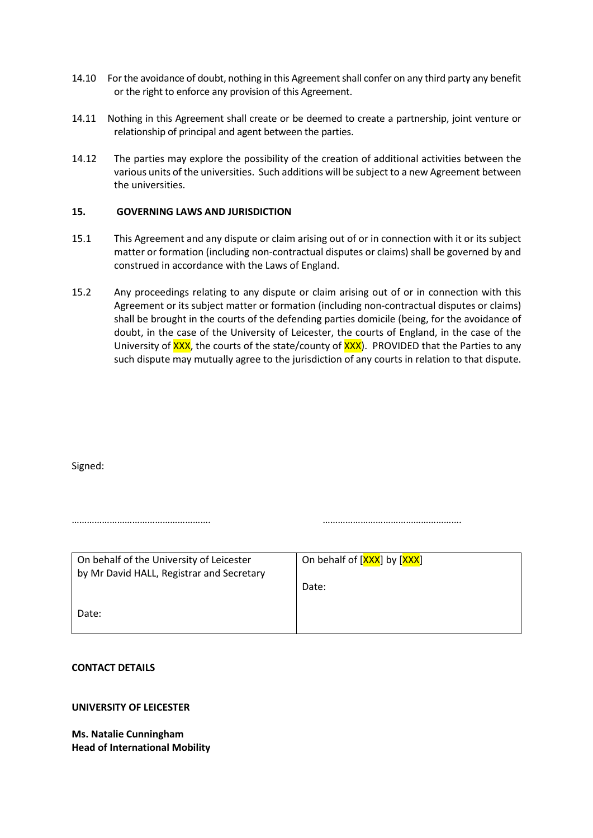- 14.10 For the avoidance of doubt, nothing in this Agreement shall confer on any third party any benefit or the right to enforce any provision of this Agreement.
- 14.11 Nothing in this Agreement shall create or be deemed to create a partnership, joint venture or relationship of principal and agent between the parties.
- 14.12 The parties may explore the possibility of the creation of additional activities between the various units of the universities. Such additions will be subject to a new Agreement between the universities.

#### **15. GOVERNING LAWS AND JURISDICTION**

- 15.1 This Agreement and any dispute or claim arising out of or in connection with it or its subject matter or formation (including non-contractual disputes or claims) shall be governed by and construed in accordance with the Laws of England.
- 15.2 Any proceedings relating to any dispute or claim arising out of or in connection with this Agreement or its subject matter or formation (including non-contractual disputes or claims) shall be brought in the courts of the defending parties domicile (being, for the avoidance of doubt, in the case of the University of Leicester, the courts of England, in the case of the University of XXX, the courts of the state/county of XXX). PROVIDED that the Parties to any such dispute may mutually agree to the jurisdiction of any courts in relation to that dispute.

Signed:

| On behalf of the University of Leicester<br>by Mr David HALL, Registrar and Secretary | On behalf of [XXX] by [XXX] |  |
|---------------------------------------------------------------------------------------|-----------------------------|--|
|                                                                                       | Date:                       |  |
| Date:                                                                                 |                             |  |

………………………………………………. ……………………………………………….

#### **CONTACT DETAILS**

#### **UNIVERSITY OF LEICESTER**

**Ms. Natalie Cunningham Head of International Mobility**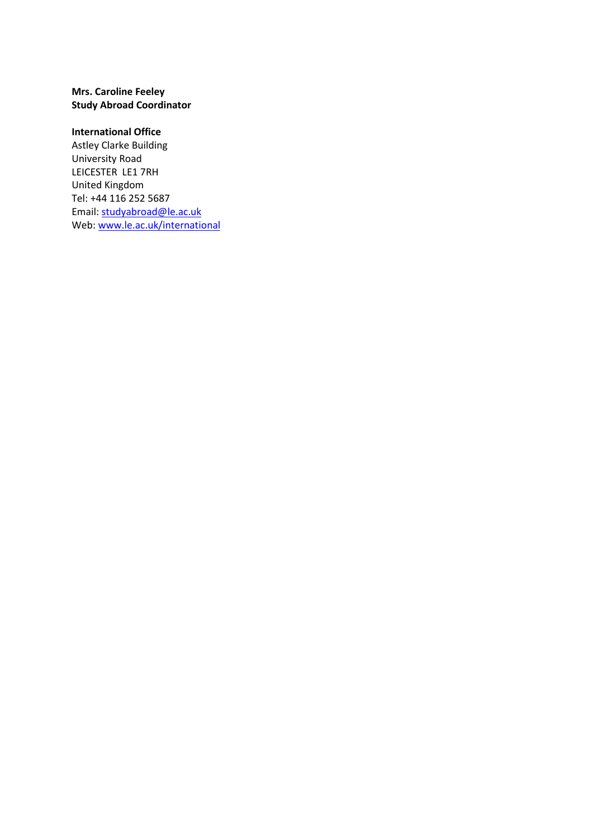### **Mrs. Caroline Feeley Study Abroad Coordinator**

### **International Office**

Astley Clarke Building University Road LEICESTER LE1 7RH United Kingdom Tel: +44 116 252 5687 Email: [studyabroad@le.ac.uk](mailto:studyabroad@le.ac.uk) Web[: www.le.ac.uk/international](http://www.le.ac.uk/international)